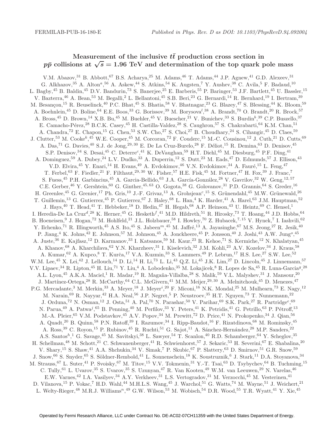# Measurement of the inclusive  $t\bar{t}$  production cross section in  $p\bar{p}$  collisions at  $\sqrt{s} = 1.96$  TeV and determination of the top quark pole mass

V.M. Abazov,<sup>31</sup> B. Abbott,<sup>67</sup> B.S. Acharya,<sup>25</sup> M. Adams,<sup>46</sup> T. Adams,<sup>44</sup> J.P. Agnew,<sup>41</sup> G.D. Alexeev,<sup>31</sup> G. Alkhazov,<sup>35</sup> A. Alton<sup>a</sup>,<sup>56</sup> A. Askew,<sup>44</sup> S. Atkins,<sup>54</sup> K. Augsten,<sup>7</sup> Y. Aushev,<sup>38</sup> C. Avila,<sup>5</sup> F. Badaud,<sup>10</sup> L. Bagby,<sup>45</sup> B. Baldin,<sup>45</sup> D.V. Bandurin,<sup>73</sup> S. Banerjee,<sup>25</sup> E. Barberis,<sup>55</sup> P. Baringer,<sup>53</sup> J.F. Bartlett,<sup>45</sup> U. Bassler,<sup>15</sup> V. Bazterra,<sup>46</sup> A. Bean,<sup>53</sup> M. Begalli,<sup>2</sup> L. Bellantoni,<sup>45</sup> S.B. Beri,<sup>23</sup> G. Bernardi,<sup>14</sup> R. Bernhard,<sup>19</sup> I. Bertram,<sup>39</sup> M. Besançon,<sup>15</sup> R. Beuselinck,<sup>40</sup> P.C. Bhat,<sup>45</sup> S. Bhatia,<sup>58</sup> V. Bhatnagar,<sup>23</sup> G. Blazey,<sup>47</sup> S. Blessing,<sup>44</sup> K. Bloom,<sup>59</sup> A. Boehnlein,<sup>45</sup> D. Boline,<sup>64</sup> E.E. Boos,<sup>33</sup> G. Borissov,<sup>39</sup> M. Borysova<sup>l</sup>,<sup>38</sup> A. Brandt,<sup>70</sup> O. Brandt,<sup>20</sup> R. Brock,<sup>57</sup> A. Bross,<sup>45</sup> D. Brown,<sup>14</sup> X.B. Bu,<sup>45</sup> M. Buehler,<sup>45</sup> V. Buescher,<sup>21</sup> V. Bunichev,<sup>33</sup> S. Burdin<sup>b</sup>,<sup>39</sup> C.P. Buszello,<sup>37</sup> E. Camacho-Pérez,<sup>28</sup> B.C.K. Casey,<sup>45</sup> H. Castilla-Valdez,<sup>28</sup> S. Caughron,<sup>57</sup> S. Chakrabarti,<sup>64</sup> K.M. Chan,<sup>51</sup> A. Chandra,<sup>72</sup> E. Chapon,<sup>15</sup> G. Chen,<sup>53</sup> S.W. Cho,<sup>27</sup> S. Choi,<sup>27</sup> B. Choudhary,<sup>24</sup> S. Cihangir,<sup>45</sup> D. Claes,<sup>59</sup> J. Clutter,<sup>53</sup> M. Cooke<sup>k</sup>,<sup>45</sup> W.E. Cooper,<sup>45</sup> M. Corcoran,<sup>72</sup> F. Couderc,<sup>15</sup> M.-C. Cousinou,<sup>12</sup> J. Cuth,<sup>21</sup> D. Cutts,<sup>69</sup> A. Das,<sup>71</sup> G. Davies,<sup>40</sup> S.J. de Jong,<sup>29, 30</sup> E. De La Cruz-Burelo,<sup>28</sup> F. Déliot,<sup>15</sup> R. Demina,<sup>63</sup> D. Denisov,<sup>45</sup> S.P. Denisov,<sup>34</sup> S. Desai,<sup>45</sup> C. Deterre<sup>c</sup>,<sup>41</sup> K. DeVaughan,<sup>59</sup> H.T. Diehl,<sup>45</sup> M. Diesburg,<sup>45</sup> P.F. Ding,<sup>41</sup> A. Dominguez,<sup>59</sup> A. Dubey,<sup>24</sup> L.V. Dudko,<sup>33</sup> A. Duperrin,<sup>12</sup> S. Dutt,<sup>23</sup> M. Eads,<sup>47</sup> D. Edmunds,<sup>57</sup> J. Ellison,<sup>43</sup> V.D. Elvira,  $^{45}$  Y. Enari,  $^{14}$  H. Evans,  $^{49}$  A. Evdokimov,  $^{46}$  V.N. Evdokimov,  $^{34}$  A. Fauré,  $^{15}$  L. Feng,  $^{47}$ T. Ferbel,<sup>63</sup> F. Fiedler,<sup>21</sup> F. Filthaut,<sup>29, 30</sup> W. Fisher,<sup>57</sup> H.E. Fisk,<sup>45</sup> M. Fortner,<sup>47</sup> H. Fox,<sup>39</sup> J. Franc,<sup>7</sup> S. Fuess,<sup>45</sup> P.H. Garbincius,<sup>45</sup> A. Garcia-Bellido,<sup>63</sup> J.A. García-González,<sup>28</sup> V. Gavrilov,<sup>32</sup> W. Geng,<sup>12,57</sup> C.E. Gerber,<sup>46</sup> Y. Gershtein,<sup>60</sup> G. Ginther,<sup>45, 63</sup> O. Gogota,<sup>38</sup> G. Golovanov,<sup>31</sup> P.D. Grannis,<sup>64</sup> S. Greder,<sup>16</sup> H. Greenlee,<sup>45</sup> G. Grenier,<sup>17</sup> Ph. Gris,<sup>10</sup> J.-F. Grivaz,<sup>13</sup> A. Grohsjean<sup>c</sup>,<sup>15</sup> S. Grünendahl,<sup>45</sup> M.W. Grünewald,<sup>26</sup> T. Guillemin,<sup>13</sup> G. Gutierrez,<sup>45</sup> P. Gutierrez,<sup>67</sup> J. Haley,<sup>68</sup> L. Han,<sup>4</sup> K. Harder,<sup>41</sup> A. Harel,<sup>63</sup> J.M. Hauptman,<sup>52</sup> J. Hays,<sup>40</sup> T. Head,<sup>41</sup> T. Hebbeker,<sup>18</sup> D. Hedin,<sup>47</sup> H. Hegab,<sup>68</sup> A.P. Heinson,<sup>43</sup> U. Heintz,<sup>69</sup> C. Hensel,<sup>1</sup> I. Heredia-De La Cruz<sup>d</sup>,<sup>28</sup> K. Herner,<sup>45</sup> G. Hesketh<sup>f</sup>,<sup>41</sup> M.D. Hildreth,<sup>51</sup> R. Hirosky,<sup>73</sup> T. Hoang,<sup>44</sup> J.D. Hobbs,<sup>64</sup> B. Hoeneisen, <sup>9</sup> J. Hogan, <sup>72</sup> M. Hohlfeld, <sup>21</sup> J.L. Holzbauer, <sup>58</sup> I. Howley, <sup>70</sup> Z. Hubacek, <sup>7, 15</sup> V. Hynek, <sup>7</sup> I. Iashvili, <sup>62</sup> Y. Ilchenko,<sup>71</sup> R. Illingworth,<sup>45</sup> A.S. Ito,<sup>45</sup> S. Jabeen<sup>m</sup>,<sup>45</sup> M. Jaffré,<sup>13</sup> A. Jayasinghe,<sup>67</sup> M.S. Jeong,<sup>27</sup> R. Jesik,<sup>40</sup> P. Jiang,<sup>4</sup> K. Johns,<sup>42</sup> E. Johnson,<sup>57</sup> M. Johnson,<sup>45</sup> A. Jonckheere,<sup>45</sup> P. Jonsson,<sup>40</sup> J. Joshi,<sup>43</sup> A.W. Jung<sup>o</sup>,<sup>45</sup> A. Juste,<sup>36</sup> E. Kajfasz,<sup>12</sup> D. Karmanov,<sup>33</sup> I. Katsanos,<sup>59</sup> M. Kaur,<sup>23</sup> R. Kehoe,<sup>71</sup> S. Kermiche,<sup>12</sup> N. Khalatyan,<sup>45</sup> A. Khanov,<sup>68</sup> A. Kharchilava,<sup>62</sup> Y.N. Kharzheev,<sup>31</sup> I. Kiselevich,<sup>32</sup> J.M. Kohli,<sup>23</sup> A.V. Kozelov,<sup>34</sup> J. Kraus,<sup>58</sup> A. Kumar,<sup>62</sup> A. Kupco,<sup>8</sup> T. Kurča,<sup>17</sup> V.A. Kuzmin,<sup>33</sup> S. Lammers,<sup>49</sup> P. Lebrun,<sup>17</sup> H.S. Lee,<sup>27</sup> S.W. Lee,<sup>52</sup> W.M. Lee,<sup>45</sup> X. Lei,<sup>42</sup> J. Lellouch,<sup>14</sup> D. Li,<sup>14</sup> H. Li,<sup>73</sup> L. Li,<sup>43</sup> Q.Z. Li,<sup>45</sup> J.K. Lim,<sup>27</sup> D. Lincoln,<sup>45</sup> J. Linnemann,<sup>57</sup> V.V. Lipaev,<sup>34</sup> R. Lipton,<sup>45</sup> H. Liu,<sup>71</sup> Y. Liu,<sup>4</sup> A. Lobodenko,<sup>35</sup> M. Lokajicek,<sup>8</sup> R. Lopes de Sa,<sup>45</sup> R. Luna-Garcia<sup>g</sup>,<sup>28</sup> A.L. Lyon,<sup>45</sup> A.K.A. Maciel,<sup>1</sup> R. Madar,<sup>19</sup> R. Magaña-Villalba,<sup>28</sup> S. Malik,<sup>59</sup> V.L. Malyshev,<sup>31</sup> J. Mansour,<sup>20</sup> J. Martínez-Ortega,<sup>28</sup> R. McCarthy,<sup>64</sup> C.L. McGivern,<sup>41</sup> M.M. Meijer,<sup>29,30</sup> A. Melnitchouk,<sup>45</sup> D. Menezes,<sup>47</sup> P.G. Mercadante,<sup>3</sup> M. Merkin,<sup>33</sup> A. Meyer,<sup>18</sup> J. Meyer<sup>i</sup>,<sup>20</sup> F. Miconi,<sup>16</sup> N.K. Mondal,<sup>25</sup> M. Mulhearn,<sup>73</sup> E. Nagy,<sup>12</sup> M. Narain, <sup>69</sup> R. Nayyar, <sup>42</sup> H.A. Neal, <sup>56</sup> J.P. Negret, <sup>5</sup> P. Neustroev, <sup>35</sup> H.T. Nguyen, <sup>73</sup> T. Nunnemann, <sup>22</sup> J. Orduna,<sup>72</sup> N. Osman,<sup>12</sup> J. Osta,<sup>51</sup> A. Pal,<sup>70</sup> N. Parashar,<sup>50</sup> V. Parihar,<sup>69</sup> S.K. Park,<sup>27</sup> R. Partridge<sup>e</sup>,<sup>69</sup> N. Parua,<sup>49</sup> A. Patwa<sup>j</sup>,<sup>65</sup> B. Penning,<sup>40</sup> M. Perfilov,<sup>33</sup> Y. Peters,<sup>41</sup> K. Petridis,<sup>41</sup> G. Petrillo,<sup>63</sup> P. Pétroff,<sup>13</sup> M.-A. Pleier,<sup>65</sup> V.M. Podstavkov,<sup>45</sup> A.V. Popov,<sup>34</sup> M. Prewitt,<sup>72</sup> D. Price,<sup>41</sup> N. Prokopenko,<sup>34</sup> J. Qian,<sup>56</sup> A. Quadt,<sup>20</sup> B. Quinn,<sup>58</sup> P.N. Ratoff,<sup>39</sup> I. Razumov,<sup>34</sup> I. Ripp-Baudot,<sup>16</sup> F. Rizatdinova,<sup>68</sup> M. Rominsky,<sup>45</sup> A. Ross,<sup>39</sup> C. Royon,<sup>15</sup> P. Rubinov,<sup>45</sup> R. Ruchti,<sup>51</sup> G. Sajot,<sup>11</sup> A. Sánchez-Hernández,<sup>28</sup> M.P. Sanders,<sup>22</sup> A.S. Santos<sup>h</sup>,<sup>1</sup> G. Savage,<sup>45</sup> M. Savitskyi,<sup>38</sup> L. Sawyer,<sup>54</sup> T. Scanlon,<sup>40</sup> R.D. Schamberger,<sup>64</sup> Y. Scheglov,<sup>35</sup> H. Schellman,<sup>48</sup> M. Schott,<sup>21</sup> C. Schwanenberger,<sup>41</sup> R. Schwienhorst,<sup>57</sup> J. Sekaric,<sup>53</sup> H. Severini,<sup>67</sup> E. Shabalina,<sup>20</sup> V. Shary,<sup>15</sup> S. Shaw,<sup>41</sup> A.A. Shchukin,<sup>34</sup> V. Simak,<sup>7</sup> P. Skubic,<sup>67</sup> P. Slattery,<sup>63</sup> D. Smirnov,<sup>51</sup> G.R. Snow,<sup>59</sup> J. Snow,<sup>66</sup> S. Snyder,<sup>65</sup> S. Söldner-Rembold,<sup>41</sup> L. Sonnenschein,<sup>18</sup> K. Soustruznik,<sup>6</sup> J. Stark,<sup>11</sup> D.A. Stoyanova,<sup>34</sup> M. Strauss,<sup>67</sup> L. Suter,<sup>41</sup> P. Svoisky,<sup>67</sup> M. Titov,<sup>15</sup> V.V. Tokmenin,<sup>31</sup> Y.-T. Tsai,<sup>63</sup> D. Tsybychev,<sup>64</sup> B. Tuchming,<sup>15</sup> C. Tully,<sup>61</sup> L. Uvarov,<sup>35</sup> S. Uvarov,<sup>35</sup> S. Uzunyan,<sup>47</sup> R. Van Kooten,<sup>49</sup> W.M. van Leeuwen,<sup>29</sup> N. Varelas,<sup>46</sup> E.W. Varnes,<sup>42</sup> I.A. Vasilyev,<sup>34</sup> A.Y. Verkheev,<sup>31</sup> L.S. Vertogradov,<sup>31</sup> M. Verzocchi,<sup>45</sup> M. Vesterinen,<sup>41</sup> D. Vilanova,<sup>15</sup> P. Vokac,<sup>7</sup> H.D. Wahl,<sup>44</sup> M.H.L.S. Wang,<sup>45</sup> J. Warchol,<sup>51</sup> G. Watts,<sup>74</sup> M. Wayne,<sup>51</sup> J. Weichert,<sup>21</sup> L. Welty-Rieger, $^{48}$  M.R.J. Williams $^{n}$ , $^{49}$  G.W. Wilson, $^{53}$  M. Wobisch, $^{54}$  D.R. Wood, $^{55}$  T.R. Wyatt, $^{41}$  Y. Xie, $^{45}$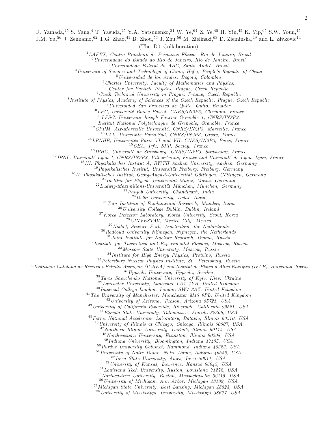R. Yamada,<sup>45</sup> S. Yang,<sup>4</sup> T. Yasuda,<sup>45</sup> Y.A. Yatsunenko,<sup>31</sup> W. Ye,<sup>64</sup> Z. Ye,<sup>45</sup> H. Yin,<sup>45</sup> K. Yip,<sup>65</sup> S.W. Youn,<sup>45</sup>

J.M. Yu,<sup>56</sup> J. Zennamo,<sup>62</sup> T.G. Zhao,<sup>41</sup> B. Zhou,<sup>56</sup> J. Zhu,<sup>56</sup> M. Zielinski,<sup>63</sup> D. Zieminska,<sup>49</sup> and L. Zivkovic<sup>14</sup>

(The D0 Collaboration)

 ${}^{1}LAFEX$ , Centro Brasileiro de Pesquisas Físicas, Rio de Janeiro, Brazil

 $^{2}$ Universidade do Estado do Rio de Janeiro, Rio de Janeiro, Brazil

Universidade Federal do ABC, Santo André, Brazil

<sup>4</sup>University of Science and Technology of China, Hefei, People's Republic of China

Universidad de los Andes, Bogotá, Colombia

Charles University, Faculty of Mathematics and Physics,

Center for Particle Physics, Prague, Czech Republic

 $7Czech Technical University in Prague, Prague, Czech Republic$ 

<sup>8</sup> Institute of Physics, Academy of Sciences of the Czech Republic, Prague, Czech Republic

Universidad San Francisco de Quito, Quito, Ecuador

LPC. Université Blaise Pascal, CNRS/IN2P3, Clermont, France

 ${}^{11}LPSC$ , Université Joseph Fourier Grenoble 1, CNRS/IN2P3,

Institut National Polytechnique de Grenoble, Grenoble, France

CPPM, Aix-Marseille Université, CNRS/IN2P3, Marseille, France

LAL, Université Paris-Sud, CNRS/IN2P3, Orsay, France

 $^{14}$ LPNHE, Universités Paris VI and VII, CNRS/IN2P3, Paris, France

CEA, Irfu, SPP, Saclay, France

IPHC, Université de Strasbourg, CNRS/IN2P3, Strasbourg, France

IPNL, Université Lyon 1, CNRS/IN2P3, Villeurbanne, France and Université de Lyon, Lyon, France

III. Physikalisches Institut A, RWTH Aachen University, Aachen, Germany

Physikalisches Institut, Universität Freiburg, Freiburg, Germany

 $^{20}$ II. Physikalisches Institut, Georg-August-Universität Göttingen, Göttingen, Germany

 $^{21}$ Institut für Physik, Universität Mainz, Mainz, Germany

 $^{22}Ludwig-Maximilia$ ns-Universität München, München, Germany

 $^{23}Panjab$  University, Chandigarh, India

Delhi University, Delhi, India

Tata Institute of Fundamental Research, Mumbai, India

University College Dublin, Dublin, Ireland

Korea Detector Laboratory, Korea University, Seoul, Korea

CINVESTAV, Mexico City, Mexico

 $^{29}$ Nikhef, Science Park, Amsterdam, the Netherlands

Radboud University Nijmegen, Nijmegen, the Netherlands

Joint Institute for Nuclear Research, Dubna, Russia

<sup>32</sup> Institute for Theoretical and Experimental Physics, Moscow, Russia

Moscow State University, Moscow, Russia

Institute for High Energy Physics, Protvino, Russia

Petersburg Nuclear Physics Institute, St. Petersburg, Russia

<sup>36</sup>Institució Catalana de Recerca i Estudis Avançats (ICREA) and Institut de Física d'Altes Energies (IFAE), Barcelona, Spain Uppsala University, Uppsala, Sweden

Taras Shevchenko National University of Kyiv, Kiev, Ukraine

Lancaster University, Lancaster LA1 4YB, United Kingdom Imperial College London, London SW7 2AZ, United Kingdom

<sup>41</sup> The University of Manchester, Manchester M13 9PL, United Kingdom

University of Arizona, Tucson, Arizona 85721, USA

University of California Riverside, Riverside, California 92521, USA

Florida State University, Tallahassee, Florida 32306, USA

<sup>45</sup> Fermi National Accelerator Laboratory, Batavia, Illinois 60510, USA

 $^{46}$ University of Illinois at Chicago, Chicago, Illinois 60607, USA

Northern Illinois University, DeKalb, Illinois 60115, USA

Northwestern University, Evanston, Illinois 60208, USA

 $^{49}$ Indiana University, Bloomington, Indiana  $47405$ , USA

Purdue University Calumet, Hammond, Indiana 46323, USA

University of Notre Dame, Notre Dame, Indiana 46556, USA

Iowa State University, Ames, Iowa 50011, USA

University of Kansas, Lawrence, Kansas 66045, USA

Louisiana Tech University, Ruston, Louisiana 71272, USA

Northeastern University, Boston, Massachusetts 02115, USA

University of Michigan, Ann Arbor, Michigan 48109, USA

Michigan State University, East Lansing, Michigan 48824, USA

University of Mississippi, University, Mississippi 38677, USA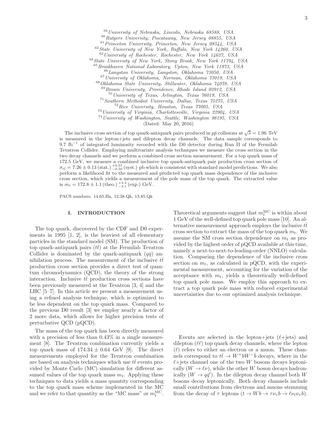University of Nebraska, Lincoln, Nebraska 68588, USA Rutgers University, Piscataway, New Jersey 08855, USA Princeton University, Princeton, New Jersey 08544, USA State University of New York, Buffalo, New York 14260, USA University of Rochester, Rochester, New York 14627, USA State University of New York, Stony Brook, New York 11794, USA Brookhaven National Laboratory, Upton, New York 11973, USA Langston University, Langston, Oklahoma 73050, USA University of Oklahoma, Norman, Oklahoma 73019, USA Oklahoma State University, Stillwater, Oklahoma 74078, USA Brown University, Providence, Rhode Island 02912, USA University of Texas, Arlington, Texas 76019, USA Southern Methodist University, Dallas, Texas 75275, USA Rice University, Houston, Texas 77005, USA University of Virginia, Charlottesville, Virginia 22904, USA University of Washington, Seattle, Washington 98195, USA

(Dated: May 20, 2016)

The inclusive cross section of top quark-antiquark pairs produced in  $p\bar{p}$  collisions at  $\sqrt{s} = 1.96$  TeV is measured in the lepton+jets and dilepton decay channels. The data sample corresponds to 9.7 fb<sup>-1</sup> of integrated luminosity recorded with the D0 detector during Run II of the Fermilab Tevatron Collider. Employing multivariate analysis techniques we measure the cross section in the two decay channels and we perform a combined cross section measurement. For a top quark mass of 172.5 GeV, we measure a combined inclusive top quark-antiquark pair production cross section of  $\sigma_{t\bar{t}} = 7.26 \pm 0.13$  (stat.)  $^{+0.57}_{-0.50}$  (syst.) pb which is consistent with standard model predictions. We also perform a likelihood fit to the measured and predicted top quark mass dependence of the inclusive cross section, which yields a measurement of the pole mass of the top quark. The extracted value is  $m_t = 172.8 \pm 1.1$  (theo.)  $^{+3.3}_{-3.1}$  (exp.) GeV.

PACS numbers: 14.65.Ha, 12.38.Qk, 13.85.Qk

## I. INTRODUCTION

The top quark, discovered by the CDF and D0 experiments in 1995 [1, 2], is the heaviest of all elementary particles in the standard model (SM). The production of top quark-antiquark pairs  $(t\bar{t})$  at the Fermilab Tevatron Collider is dominated by the quark-antiquark  $(q\bar{q})$  annihilation process. The measurement of the inclusive  $t\bar{t}$ production cross section provides a direct test of quantum chromodynamics (QCD), the theory of the strong interaction. Inclusive  $t\bar{t}$  production cross sections have been previously measured at the Tevatron [3, 4] and the LHC [5–7]. In this article we present a measurement using a refined analysis technique, which is optimized to be less dependent on the top quark mass. Compared to the previous D0 result [3] we employ nearly a factor of 2 more data, which allows for higher precision tests of perturbative QCD (pQCD).

The mass of the top quark has been directly measured with a precision of less than  $0.43\%$  in a single measurement [8]. The Tevatron combination currently yields a top quark mass of  $174.34 \pm 0.64$  GeV [9]. The direct measurements employed for the Tevatron combination are based on analysis techniques which use  $t\bar{t}$  events provided by Monte Carlo (MC) simulation for different assumed values of the top quark mass  $m_t$ . Applying these techniques to data yields a mass quantity corresponding to the top quark mass scheme implemented in the MC and we refer to that quantity as the "MC mass" or  $m_t^{\text{MC}}$ .

Theoretical arguments suggest that  $m_t^{\text{MC}}$  is within about 1 GeV of the well-defined top quark pole mass [10]. An alternative measurement approach employs the inclusive  $t\bar{t}$ cross section to extract the mass of the top quark  $m_t$ . We assume the SM cross section dependence on  $m_t$  as provided by the highest order of pQCD available at this time, namely a next-to-next-to-leading-order (NNLO) calculation. Comparing the dependence of the inclusive cross section on  $m_t$ , as calculated in pQCD, with the experimental measurement, accounting for the variation of the acceptance with  $m_t$ , yields a theoretically well-defined top quark pole mass. We employ this approach to extract a top quark pole mass with reduced experimental uncertainties due to our optimized analysis technique.

Events are selected in the lepton+jets  $(\ell + \text{jets})$  and dilepton  $(\ell\ell)$  top quark decay channels, where the lepton  $(\ell)$  refers to either an electron or a muon. These channels correspond to  $t\bar{t} \rightarrow W^+bW^-\bar{b}$  decays, where in the  $\ell$ +jets channel one of the two W bosons decays leptonically  $(W \to \ell \nu)$ , while the other W boson decays hadronically  $(W \to q\bar{q}')$ . In the dilepton decay channel both W bosons decay leptonically. Both decay channels include small contributions from electrons and muons stemming from the decay of  $\tau$  leptons  $(t \to Wb \to \tau \nu_{\tau} b \to \ell \nu_{\ell} \nu_{\tau} b)$ .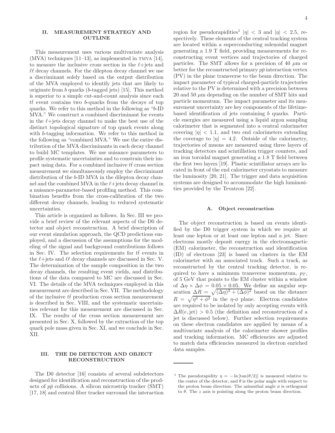# II. MEASUREMENT STRATEGY AND OUTLINE

This measurement uses various multivariate analysis  $(MVA)$  techniques [11–13], as implemented in TMVA [14], to measure the inclusive cross section in the  $\ell$ +jets and  $\ell\ell$  decay channels. For the dilepton decay channel we use a discriminant solely based on the output distribution of the MVA employed to identify jets that are likely to originate from b quarks (b-tagged jets) [15]. This method is superior to a simple cut-and-count analysis since each  $t\bar{t}$  event contains two b-quarks from the decays of top quarks. We refer to this method in the following as "b-ID MVA." We construct a combined discriminant for events in the  $\ell$ +jets decay channel to make the best use of the distinct topological signature of top quark events along with b-tagging information. We refer to this method in the following as "combined MVA." We use the entire distribution of the MVA discriminants in each decay channel to build MC templates. We use nuisance parameters to profile systematic uncertainties and to constrain their impact using data. For a combined inclusive  $t\bar{t}$  cross section measurement we simultaneously employ the discriminant distribution of the b-ID MVA in the dilepton decay channel and the combined MVA in the  $\ell +$ jets decay channel in a nuisance-parameter-based profiling method. This combination benefits from the cross-calibration of the two different decay channels, leading to reduced systematic uncertainties.

This article is organized as follows. In Sec. III we provide a brief review of the relevant aspects of the D0 detector and object reconstruction. A brief description of our event simulation approach, the QCD predictions employed, and a discussion of the assumptions for the modeling of the signal and background contributions follows in Sec. IV. The selection requirements for  $t\bar{t}$  events in the  $\ell$ +jets and  $\ell\ell$  decay channels are discussed in Sec. V. The determination of the sample composition in the two decay channels, the resulting event yields, and distributions of the data compared to MC are discussed in Sec. VI. The details of the MVA techniques employed in this measurement are described in Sec. VII. The methodology of the inclusive  $t\bar{t}$  production cross section measurement is described in Sec. VIII, and the systematic uncertainties relevant for this measurement are discussed in Sec. IX. The results of the cross section measurement are presented in Sec. X, followed by the extraction of the top quark pole mass given in Sec. XI, and we conclude in Sec. XII.

# III. THE D0 DETECTOR AND OBJECT RECONSTRUCTION

The D0 detector [16] consists of several subdetectors designed for identification and reconstruction of the products of  $p\bar{p}$  collisions. A silicon microstrip tracker (SMT) [17, 18] and central fiber tracker surround the interaction

region for pseudorapidities<sup>1</sup>  $|\eta| < 3$  and  $|\eta| < 2.5$ , respectively. These elements of the central tracking system are located within a superconducting solenoidal magnet generating a 1.9 T field, providing measurements for reconstructing event vertices and trajectories of charged particles. The SMT allows for a precision of 40  $\mu$ m or better for the reconstructed primary  $p\bar{p}$  interaction vertex (PV) in the plane transverse to the beam direction. The impact parameter of typical charged-particle trajectories relative to the PV is determined with a precision between 20 and 50  $\mu$ m depending on the number of SMT hits and particle momentum. The impact parameter and its measurement uncertainty are key components of the lifetimebased identification of jets containing b quarks. Particle energies are measured using a liquid argon sampling calorimeter that is segmented into a central calorimeter covering  $|\eta|$  < 1.1, and two end calorimeters extending the coverage to  $|\eta| = 4.2$ . Outside of the calorimetry, trajectories of muons are measured using three layers of tracking detectors and scintillation trigger counters, and an iron toroidal magnet generating a 1.8 T field between the first two layers [19]. Plastic scintillator arrays are located in front of the end calorimeter cryostats to measure the luminosity [20, 21]. The trigger and data acquisition systems are designed to accommodate the high luminosities provided by the Tevatron [22].

#### A. Object reconstruction

The object reconstruction is based on events identified by the D0 trigger system in which we require at least one lepton or at least one lepton and a jet. Since electrons mostly deposit energy in the electromagnetic (EM) calorimeter, the reconstruction and identification (ID) of electrons [23] is based on clusters in the EM calorimeter with an associated track. Such a track, as reconstructed by the central tracking detector, is required to have a minimum transverse momentum,  $p_T$ , of 5 GeV that points to the EM cluster within a window of  $\Delta \eta \times \Delta \phi = 0.05 \times 0.05$ . We define an angular separation  $\Delta R = \sqrt{(\Delta \eta)^2 + (\Delta \phi)^2}$  based on the distance  $R = \sqrt{\eta^2 + \phi^2}$  in the  $\eta$ - $\phi$  plane. Electron candidates are required to be isolated by only accepting events with  $\Delta R(e, \text{jet}) > 0.5$  (the definition and reconstruction of a jet is discussed below). Further selection requirements on these electron candidates are applied by means of a multivariate analysis of the calorimeter shower profiles and tracking information. MC efficiencies are adjusted to match data efficiencies measured in electron enriched data samples.

<sup>&</sup>lt;sup>1</sup> The pseudorapidity  $\eta = -\ln[\tan(\theta/2)]$  is measured relative to the center of the detector, and  $\theta$  is the polar angle with respect to the proton beam direction. The azimuthal angle  $\phi$  is orthogonal to  $\theta$ . The z axis is pointing along the proton beam direction.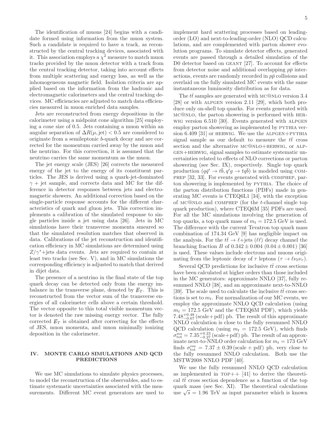The identification of muons [24] begins with a candidate formed using information from the muon system. Such a candidate is required to have a track, as reconstructed by the central tracking devices, associated with it. This association employs a  $\chi^2$  measure to match muon tracks provided by the muon detector with a track from the central tracking detector, taking into account effects from multiple scattering and energy loss, as well as the inhomogeneous magnetic field. Isolation criteria are applied based on the information from the hadronic and electromagnetic calorimeters and the central tracking devices. MC efficiencies are adjusted to match data efficiencies measured in muon enriched data samples.

Jets are reconstructed from energy depositions in the calorimeter using a midpoint cone algorithm [25] employing a cone size of 0.5. Jets containing a muon within an angular separation of  $\Delta R(\mu, jet) < 0.5$  are considered to originate from a semileptonic b-quark decay and are corrected for the momentum carried away by the muon and the neutrino. For this correction, it is assumed that the neutrino carries the same momentum as the muon.

The jet energy scale (JES) [26] corrects the measured energy of the jet to the energy of its constituent particles. The JES is derived using a quark-jet-dominated  $\gamma$  + jet sample, and corrects data and MC for the difference in detector responses between jets and electromagnetic showers. An additional correction based on the single-particle response accounts for the different characteristics of quark and gluon jets. This correction implements a calibration of the simulated response to single particles inside a jet using data [26]. Jets in MC simulations have their transverse momenta smeared so that the simulated resolution matches that observed in data. Calibrations of the jet reconstruction and identification efficiency in MC simulations are determined using  $Z/\gamma^*$ +jets data events. Jets are required to contain at least two tracks (see Sec. V), and in MC simulations the corresponding efficiency is adjusted to match that derived in dijet data.

The presence of a neutrino in the final state of the top quark decay can be detected only from the energy imbalance in the transverse plane, denoted by  $\not\hspace{-.1em}E_T$ . This is reconstructed from the vector sum of the transverse energies of all calorimeter cells above a certain threshold. The vector opposite to this total visible momentum vector is denoted the raw missing energy vector. The fully corrected  $\not\hspace{-.15cm}/\,F$  is obtained after correcting for the effects of JES, muon momenta, and muon minimally ionizing deposition in the calorimeter.

# IV. MONTE CARLO SIMULATIONS AND QCD **PREDICTIONS**

We use MC simulations to simulate physics processes, to model the reconstruction of the observables, and to estimate systematic uncertainties associated with the measurements. Different MC event generators are used to implement hard scattering processes based on leadingorder (LO) and next-to-leading-order (NLO) QCD calculations, and are complemented with parton shower evolution programs. To simulate detector effects, generated events are passed through a detailed simulation of the D0 detector based on GEANT [27]. To account for effects from detector noise and additional overlapping  $p\bar{p}$  interactions, events are randomly recorded in  $p\bar{p}$  collisions and overlaid on the fully simulated MC events with the same instantaneous luminosity distribution as for data.

The  $t\bar{t}$  samples are generated with MC@NLO version 3.4 [28] or with alpgen version 2.11 [29], which both produce only on-shell top quarks. For events generated with mc@nlo, the parton showering is performed with herwig version 6.510 [30]. Events generated with alpgen employ parton showering as implemented by PYTHIA version  $6.409$  [31] or HERWIG. We use the ALPGEN+PYTHIA signal sample as our default to measure the  $t\bar{t}$  cross section and the alternative  $MC@NLO+HERWIG$ , or ALPgen+herwig, signal samples to estimate systematic uncertainties related to effects of NLO corrections or parton showering (see Sec. IX), respectively. Single top quark production  $(q\bar{q}' \rightarrow t\bar{b}, q'g \rightarrow t q\bar{b})$  is modeled using COMphep [32, 33]. For events generated with comphep, parton showering is implemented by PYTHIA. The choice of the parton distribution functions (PDFs) made in generating MC events is CTEQ6L1 [34], with the exception of mc@nlo and comphep (for the t-channel single top quark production), where CTEQ6M [35] PDFs are used. For all the MC simulations involving the generation of top quarks, a top quark mass of  $m_t = 172.5$  GeV is used. The difference with the current Tevatron top quark mass combination of 174.34 GeV [9] has negligible impact on the analysis. For the  $t\bar{t} \to \ell + \text{jets}$  ( $\ell\ell$ ) decay channel the branching fraction B of  $0.342 \pm 0.004$  ( $0.04 \pm 0.001$ ) [36] is used. These values include electrons and muons originating from the leptonic decay of  $\tau$  leptons  $(\tau \to \ell \nu_{\ell} \nu_{\tau}).$ 

Several QCD predictions for inclusive  $t\bar{t}$  cross sections have been calculated at higher orders than those included in the MC generators: approximate NNLO [37], fully resummed NNLO [38], and an approximate next-to-NNLO [39]. The scale used to calculate the inclusive  $t\bar{t}$  cross sections is set to  $m_t$ . For normalization of our MC events, we employ the approximate NNLO QCD calculation (using  $m_t = 172.5$  GeV and the CTEQ6M PDF), which yields  $7.48^{+0.48}_{-0.67}$  (scale + pdf) pb. The result of this approximate NNLO calculation is close to the fully resummed NNLO QCD calculation (using  $m_t = 172.5$  GeV), which finds  $\sigma_{\text{tot}}^{\text{res}} = 7.35_{-0.27}^{+0.23}$  (scale+pdf) pb. The result of an approximate next-to-NNLO order calculation for  $m_t = 173$  GeV finds  $\sigma_{\text{tot}}^{\text{res}} = 7.37 \pm 0.39 \text{ (scale + pdf)}$  pb, very close to the fully resummed NNLO calculation. Both use the MSTW2008 NNLO PDF [40].

We use the fully resummed NNLO QCD calculation as implemented in  $TOP++$  [41] to derive the theoretical  $t\bar{t}$  cross section dependence as a function of the top quark mass (see Sec. XI). The theoretical calculations  $\sqrt{s} = 1.96 \text{ TeV}$  as input parameter which is known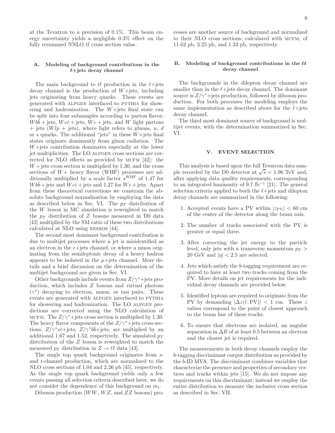at the Tevatron to a precision of 0.1%. This beam energy uncertainty yields a negligible 0.3% effect on the fully resummed NNLO  $t\bar{t}$  cross section value.

# A. Modeling of background contributions in the  $\ell +$ jets decay channel

The main background to  $t\bar{t}$  production in the  $\ell +$ jets decay channel is the production of  $W+$ jets, including jets originating from heavy quarks. These events are generated with alpgen interfaced to pythia for showering and hadronization. The  $W+$ jets final state can be split into four subsamples according to parton flavor:  $Wbb + \text{jets}, Wc\bar{c} + \text{jets}, Wc + \text{jets}, \text{and } W \text{ light partons}$  $+$  jets  $(Wlp + \text{jets})$ , where light refers to gluons, u, d or  $s$  quarks. The additional "jets" in these  $W+$ jets final states originate dominantly from gluon radiation. The W+jets contribution dominates especially at the lower jet multiplicities. The LO ALPGEN cross sections are corrected for NLO effects as provided by MCFM  $[42]$ : the  $W +$  jets cross section is multiplied by 1.30, and the cross sections of  $W+$  heavy flavor (WHF) processes are additionally multiplied by a scale factor  $s^{\text{WHF}}$  of 1.47 for  $W b \overline{b}$  + jets and  $W c \overline{c}$  + jets and 1.27 for  $W c$  + jets. Apart from these theoretical corrections we constrain the absolute background normalization by employing the data as described below in Sec. VI. The  $p_T$  distribution of the W boson in MC simulation is reweighted to match the  $p_T$  distribution of Z bosons measured in D0 data [43] multiplied by the SM ratio of these two distributions calculated at NLO using RESBOS [44].

The second most dominant background contribution is due to multijet processes where a jet is misidentified as an electron in the  $e+$ jets channel, or where a muon originating from the semileptonic decay of a heavy hadron appears to be isolated in the  $\mu$ +jets channel. More details and a brief discussion on the determination of the multijet background are given in Sec. VI.

Other backgrounds include events from  $Z/\gamma^*$ +jets production, which includes Z bosons and virtual photons  $(\gamma^*)$  decaying to electron, muon, or tau pairs. These events are generated with ALPGEN interfaced to PYTHIA for showering and hadronization. The LO ALPGEN predictions are corrected using the NLO calculation of MCFM. The  $Z/\gamma^*+{\rm jets}$  cross section is multiplied by 1.30. The heavy flavor components of the  $Z/\gamma^*+{\rm jets}$  cross sections,  $Z/\gamma^*c\bar{c}$ +jets,  $Z/\gamma^*b\bar{b}$ +jets, are multiplied by an additional 1.67 and 1.52, respectively. The simulated  $p_T$ distribution of the Z boson is reweighted to match the measured  $p_T$  distribution in  $Z \to \ell \ell$  data [43].

The single top quark background originates from sand t-channel production, which are normalized to the NLO cross sections of 1.04 and 2.26 pb [45], respectively. As the single top quark background yields only a few events passing all selection criteria described later, we do not consider the dependence of this background on  $m_t$ .

Diboson production  $(WW, WZ, \text{and } ZZ$  bosons) pro-

cesses are another source of background and normalized to their NLO cross sections, calculated with mcfm, of 11.62 pb, 3.25 pb, and 1.33 pb, respectively.

# B. Modeling of background contributions in the  $\ell\ell$ decay channel

The backgrounds in the dilepton decay channel are smaller than in the  $\ell$ +jets decay channel. The dominant source is  $Z/\gamma^* +$  jets production, followed by diboson production. For both processes the modeling employs the same implementation as described above for the  $\ell$ +jets decay channel.

The third most dominant source of background is multijet events, with the determination summarized in Sec. VI.

# V. EVENT SELECTION

This analysis is based upon the full Tevatron data sample recorded by the D0 detector at  $\sqrt{s} = 1.96$  TeV and, after applying data quality requirements, corresponding to an integrated luminosity of 9.7 fb<sup>−</sup><sup>1</sup> [21]. The general selection criteria applied to both the  $\ell$ +jets and dilepton decay channels are summarized in the following:

- 1. Accepted events have a PV within  $|z_{\rm PV}| < 60$  cm of the center of the detector along the beam axis.
- 2. The number of tracks associated with the PV is greater or equal three.
- 3. After correcting the jet energy to the particle level, only jets with a transverse momentum  $p_T$ 20 GeV and  $|\eta| < 2.5$  are selected.
- 4. Jets which satisfy the b-tagging requirement are required to have at least two tracks coming from the PV. More details on jet requirements for the individual decay channels are provided below.
- 5. Identified leptons are required to originate from the PV by demanding  $|\Delta z(\ell, PV)| < 1$  cm. These z values correspond to the point of closest approach to the beam line of these tracks.
- 6. To ensure that electrons are isolated, an angular separation in  $\Delta R$  of at least 0.5 between an electron and the closest jet is required.

The measurements in both decay channels employ the b-tagging discriminant output distribution as provided by the b-ID MVA. The discriminant combines variables that characterize the presence and properties of secondary vertices and tracks within jets [15]. We do not impose any requirements on this discriminant; instead we employ the entire distribution to measure the inclusive cross section as described in Sec. VII.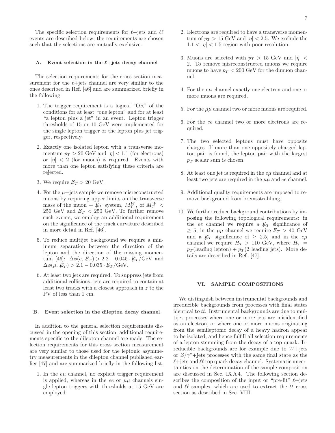The specific selection requirements for  $\ell +$ jets and  $\ell\ell$ events are described below; the requirements are chosen such that the selections are mutually exclusive.

## A. Event selection in the  $\ell$ +jets decay channel

The selection requirements for the cross section measurement for the  $\ell +$ jets channel are very similar to the ones described in Ref. [46] and are summarized briefly in the following:

- 1. The trigger requirement is a logical "OR" of the conditions for at least "one lepton" and for at least "a lepton plus a jet" in an event. Lepton trigger thresholds of 15 or 10 GeV were implemented for the single lepton trigger or the lepton plus jet trigger, respectively.
- 2. Exactly one isolated lepton with a transverse momentum  $p_T > 20$  GeV and  $|\eta| < 1.1$  (for electrons) or  $|\eta| < 2$  (for muons) is required. Events with more than one lepton satisfying these criteria are rejected.
- 3. We require  $E_T > 20$  GeV.
- 4. For the  $\mu$ +jets sample we remove misreconstructed muons by requiring upper limits on the transverse mass of the muon  $+$   $\cancel{E_T}$  system,  $M_T^W$ , of  $M_T^W$  < 250 GeV and  $E_T < 250$  GeV. To further remove such events, we employ an additional requirement on the significance of the track curvature described in more detail in Ref. [46].
- 5. To reduce multijet background we require a minimum separation between the direction of the lepton and the direction of the missing momentum [46]:  $\Delta \phi(e, E_T) > 2.2 - 0.045 \cdot E_T / \text{GeV}$  and  $\Delta\phi(\mu, E_T) > 2.1 - 0.035 \cdot E_T/\text{GeV}.$
- 6. At least two jets are required. To suppress jets from additional collisions, jets are required to contain at least two tracks with a closest approach in z to the PV of less than 1 cm.

# B. Event selection in the dilepton decay channel

In addition to the general selection requirements discussed in the opening of this section, additional requirements specific to the dilepton channel are made. The selection requirements for this cross section measurement are very similar to those used for the leptonic asymmetry measurements in the dilepton channel published earlier [47] and are summarized briefly in the following list.

1. In the  $e\mu$  channel, no explicit trigger requirement is applied, whereas in the ee or  $\mu\mu$  channels single lepton triggers with thresholds at 15 GeV are employed.

- 2. Electrons are required to have a transverse momentum of  $p_T > 15$  GeV and  $|\eta| < 2.5$ . We exclude the  $1.1 < |\eta| < 1.5$  region with poor resolution.
- 3. Muons are selected with  $p_T > 15$  GeV and  $|\eta|$  < 2. To remove misreconstructed muons we require muons to have  $p_T < 200$  GeV for the dimuon channel.
- 4. For the  $e\mu$  channel exactly one electron and one or more muons are required.
- 5. For the  $\mu\mu$  channel two or more muons are required.
- 6. For the ee channel two or more electrons are required.
- 7. The two selected leptons must have opposite charges. If more than one oppositely charged lepton pair is found, the lepton pair with the largest  $p_T$  scalar sum is chosen.
- 8. At least one jet is required in the eµ channel and at least two jets are required in the  $\mu\mu$  and ee channel.
- 9. Additional quality requirements are imposed to remove background from bremsstrahlung.
- 10. We further reduce background contributions by imposing the following topological requirements: in the ee channel we require a  $E_T$  significance of  $\geq$  5, in the  $\mu\mu$  channel we require  $\not\!\!E_T > 40~\rm GeV$ and a  $\not{E}_T$  significance of  $\geq$  2.5, and in the  $e\mu$ channel we require  $H_T > 110$  GeV, where  $H_T =$  $p_T$ (leading lepton) +  $p_T$ (2 leading jets). More details are described in Ref. [47].

#### VI. SAMPLE COMPOSITIONS

We distinguish between instrumental backgrounds and irreducible backgrounds from processes with final states identical to  $tt$ . Instrumental backgrounds are due to multijet processes where one or more jets are misidentified as an electron, or where one or more muons originating from the semileptonic decay of a heavy hadron appear to be isolated, and hence fulfill all selection requirements of a lepton stemming from the decay of a top quark. Irreducible backgrounds are for example due to  $W +$ jets or  $Z/\gamma^*$ +jets processes with the same final state as the  $\ell$ +jets and  $\ell\ell$  top quark decay channel. Systematic uncertainties on the determination of the sample composition are discussed in Sec. IX A 4. The following section describes the composition of the input or "pre-fit"  $\ell + \text{jets}$ and  $\ell\ell$  samples, which are used to extract the  $t\bar{t}$  cross section as described in Sec. VIII.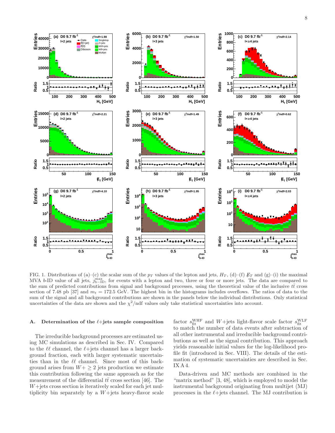

FIG. 1. Distributions of (a)–(c) the scalar sum of the  $p_T$  values of the lepton and jets,  $H_T$ , (d)–(f)  $\not\! E_T$  and (g)–(i) the maximal MVA b-ID value of all jets,  $j_{b-ID}^{max}$ , for events with a lepton and two, three or four or more jets. The data are compared to the sum of predicted contributions from signal and background processes, using the theoretical value of the inclusive  $t\bar{t}$  cross section of 7.48 pb [37] and  $m_t = 172.5$  GeV. The highest bin in the histograms includes overflows. The ratios of data to the sum of the signal and all background contributions are shown in the panels below the individual distributions. Only statistical uncertainties of the data are shown and the  $\chi^2$ /ndf values only take statistical uncertainties into account.

## A. Determination of the  $\ell$ +jets sample composition

The irreducible background processes are estimated using MC simulations as described in Sec. IV. Compared to the  $\ell\ell$  channel, the  $\ell$ +jets channel has a larger background fraction, each with larger systematic uncertainties than in the  $\ell\ell$  channel. Since most of this background arises from  $W + \geq 2$  jets production we estimate this contribution following the same approach as for the measurement of the differential  $t\bar{t}$  cross section [46]. The  $W +$ jets cross section is iteratively scaled for each jet multiplicity bin separately by a  $W+{\text{jets}}$  heavy-flavor scale

factor  $s_{\text{fit}}^{\text{WHF}}$  and  $W+$ jets light-flavor scale factor  $s_{\text{fit}}^{\text{WLF}}$ <br>to match the number of data events after subtraction of all other instrumental and irreducible background contributions as well as the signal contribution. This approach yields reasonable initial values for the log-likelihood profile fit (introduced in Sec. VIII). The details of the estimation of systematic uncertainties are described in Sec. IX A 4.

Data-driven and MC methods are combined in the "matrix method" [3, 48], which is employed to model the instrumental background originating from multijet (MJ) processes in the  $\ell$ +jets channel. The MJ contribution is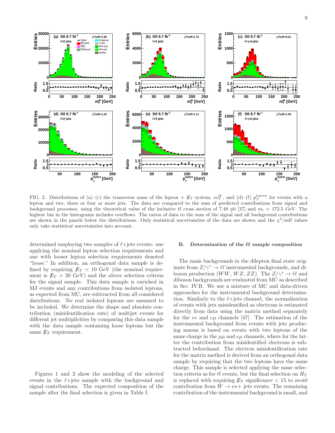

FIG. 2. Distributions of (a)–(c) the transverse mass of the lepton +  $\not{E}_T$  system,  $m_T^W$ , and (d)–(f)  $p_T^{\text{lepton}}$  for events with a lepton and two, three or four or more jets. The data are compared to the sum of predicted contributions from signal and background processes, using the theoretical value of the inclusive  $t\bar{t}$  cross section of 7.48 pb [37] and  $m_t = 172.5$  GeV. The highest bin in the histograms includes overflows. The ratios of data to the sum of the signal and all background contributions are shown in the panels below the distributions. Only statistical uncertainties of the data are shown and the  $\chi^2$ /ndf values only take statistical uncertainties into account.

determined employing two samples of  $\ell$ +jets events: one applying the nominal lepton selection requirements and one with looser lepton selection requirements denoted "loose." In addition, an orthogonal data sample is defined by requiring  $E_T < 10$  GeV (the nominal requirement is  $E_T > 20$  GeV) and the above selection criteria for the signal sample. This data sample is enriched in MJ events and any contributions from isolated leptons, as expected from MC, are subtracted from all considered distributions. No real isolated leptons are assumed to be included. We determine the shape and absolute contribution (misidentification rate) of multijet events for different jet multiplicities by comparing this data sample with the data sample containing loose leptons but the same  $\not\hspace{-1.2mm}E_{T}$  requirement.

Figures 1 and 2 show the modeling of the selected events in the  $\ell$ +jets sample with the background and signal contributions. The expected composition of the sample after the final selection is given in Table I.

## B. Determination of the  $\ell\ell$  sample composition

The main backgrounds in the dilepton final state originate from  $Z/\gamma^* \to \ell \ell$  instrumental backgrounds, and diboson production (WW, WZ, ZZ). The  $Z/\gamma^* \to \ell \ell$  and diboson backgrounds are evaluated from MC as described in Sec. IV B. We use a mixture of MC and data-driven approaches for the instrumental background determination. Similarly to the  $\ell$ +jets channel, the normalization of events with jets misidentified as electrons is estimated directly from data using the matrix method separately for the ee and  $e\mu$  channels [47]. The estimation of the instrumental background from events with jets producing muons is based on events with two leptons of the same charge in the  $\mu\mu$  and  $e\mu$  channels, where for the latter the contribution from misidentified electrons is subtracted beforehand. The electron misidentification rate for the matrix method is derived from an orthogonal data sample by requiring that the two leptons have the same charge. This sample is selected applying the same selection criteria as for  $t\bar{t}$  events, but the final selection on  $H_T$ is replaced with requiring  $\not\!\!E_T$  significance  $\lt 15$  to avoid contribution from  $W \to e\nu + i$  jets events. The remaining contribution of the instrumental background is small, and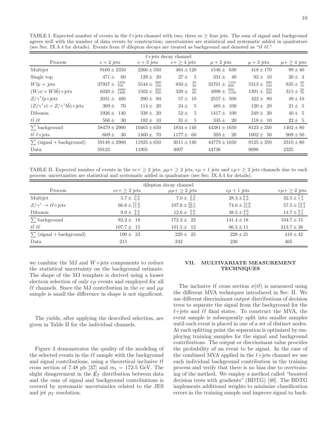TABLE I. Expected number of events in the  $\ell$ +jets channel with two, three or  $\geq$  four jets. The sum of signal and background agrees well with the number of data events by construction; uncertainties are statistical and systematic added in quadrature (see Sec. IX A 4 for details). Events from  $t\bar{t}$  dilepton decays are treated as background and denoted as " $t\bar{t} \ell \ell$ ."

| $\ell$ +jets decay channel                                  |                                   |                            |                              |                                   |                              |                         |
|-------------------------------------------------------------|-----------------------------------|----------------------------|------------------------------|-----------------------------------|------------------------------|-------------------------|
| Process                                                     | $e + 2$ jets                      | $e + 3$ jets               | $e + \geq 4$ jets            | $\mu + 2$ jets                    | $\mu+3$ jets                 | $\mu + \geq 4$ jets     |
| Multijet                                                    | $9160 \pm 2350$                   | $2266 \pm 550$             | $464 \pm 120$                | $1546 \pm$<br>630                 | $418 \pm 170$                | $99 \pm 40$             |
| Single top                                                  | $471 \pm$<br>-60                  | $129 \pm 20$               | $27 \pm$<br>$\frac{5}{2}$    | $331 \pm$<br>40                   | $92 \pm 10$                  | $20 \pm 3$              |
| $Wlp + \text{jets}$                                         | $\frac{1350}{700}$<br>$37937 +$   | $5544 \pm \frac{200}{100}$ | $\frac{30}{20}$<br>$850 \pm$ | $\frac{1150}{600}$<br>$32701 \pm$ | $^{200}_{100}$<br>$5313 \pm$ | $835 \pm \frac{30}{15}$ |
| $(Wc\bar{c} + Wb\bar{b}) + \text{jets}$                     | $\frac{1000}{1400}$<br>$6020 \pm$ | $1502 \pm \frac{250}{350}$ | $^{60}_{80}$<br>$329 \pm$    | $4998 \pm \frac{850}{1150}$       | $1391 \pm \frac{250}{300}$   | $315 \pm \frac{50}{70}$ |
| $Z/\gamma^*lp + \text{jets}$                                | 400<br>$2031 \pm$                 | $390 \pm 80$               | $57 \pm$<br>10               | $2557 \pm 500$                    | $422 \pm 80$                 | $49 \pm 10$             |
| $(Z/\gamma^* c\bar{c} + Z/\gamma^* b\bar{b}) + \text{jets}$ | 70<br>$369 \pm$                   | $114 \pm 20$               | $\overline{5}$<br>$24 \pm$   | $485 \pm$<br>100                  | $120 \pm$<br>-20             | $21 \pm 5$              |
| <b>Diboson</b>                                              | $1926 \pm$<br>140                 | $338 \pm 20$               | $\overline{5}$<br>$52 \pm$   | $1417 +$<br>100                   | $249 \pm 20$                 | $40 \pm 5$              |
| $t\bar{t}$ il                                               | $566 \pm$<br>30                   | $182 \pm 10$               | $\frac{5}{2}$<br>$31 \pm$    | $345 \pm$<br>20                   | $118 \pm 10$                 | $22 \pm 5$              |
| $\sum$ background                                           | $58479 \pm 2900$                  | $10465 \pm 650$            | $1834 \pm 140$               | $44381 \pm 1650$                  | $8123 \pm 350$               | $1402 \pm 80$           |
| $t\bar{t} \ell + \text{jets}$                               | $669 \pm$<br>30                   | $1460 \pm 70$              | $1177 \pm 60$                | $393 \pm$<br>20                   | $1002 \pm 50$                | $909 \pm 50$            |
| $\sum$ (signal + background)                                | $59148 \pm 2900$                  | $11925 \pm 650$            | $3011 \pm 140$               | $44773 \pm 1650$                  | $9125 \pm 350$               | $2310 \pm 80$           |
| Data                                                        | 59122                             | 11905                      | 3007                         | 44736                             | 9098                         | 2325                    |

TABLE II. Expected number of events in the  $ee+\geq 2$  jets,  $\mu\mu+\geq 2$  jets,  $e\mu+1$  jets and  $e\mu+\geq 2$  jets channels due to each process; uncertainties are statistical and systematic added in quadrature (see Sec. IX A 4 for details).

|                                          |                                                            | dilepton decay channel        |                                  |                                    |
|------------------------------------------|------------------------------------------------------------|-------------------------------|----------------------------------|------------------------------------|
| Process                                  | $ee + \geq 2$ jets                                         | $\mu\mu + \geq 2$ jets        | $e\mu + 1$ jets                  | $e\mu + \geq 2$ jets               |
| Multijet                                 | $5.7 \pm \begin{smallmatrix} 0.9 \\ 0.9 \end{smallmatrix}$ | $7.0 \pm \frac{3.3}{2.6}$     | $28.3 \pm \substack{6.6 \\ 6.6}$ | $32.5 \pm \frac{7.4}{7.4}$         |
| $Z/\gamma^* \to \ell \ell + \text{jets}$ | $66.6 \pm \frac{17.9}{17.2}$                               | $107.6 \pm \frac{22.1}{22.0}$ | $74.6 \pm \frac{15.8}{15.8}$     | $57.5 \pm \substack{13.8 \\ 13.4}$ |
| Diboson                                  | $9.9 \pm \frac{2.4}{2.2}$                                  | $12.6 \pm \frac{2.8}{3.0}$    | $38.5 \pm \frac{4.6}{4.2}$       | $14.7 \pm \substack{3.7 \\ 3.5}$   |
| $\sum$ background                        | $82.2 \pm 18$                                              | $172.2 \pm 22$                | $141.4 \pm 18$                   | $104.7 \pm 15$                     |
| $t\bar{t}$ el                            | $107.7 \pm 15$                                             | $101.5 \pm 12$                | $86.5 \pm 11$                    | $313.7 \pm 38$                     |
| $\sum$ (signal + background)             | $190 \pm 23$                                               | $229 \pm 25$                  | $228 \pm 21$                     | $418 \pm 42$                       |
| Data                                     | 215                                                        | 242                           | 236                              | 465                                |

we combine the MJ and  $W+{\text{jets}}$  components to reduce the statistical uncertainty on the background estimate. The shape of the MJ template is derived using a looser electron selection of only  $e\mu$  events and employed for all  $\ell\ell$  channels. Since the MJ contribution in the ee and  $\mu\mu$ sample is small the difference in shape is not significant.

The yields, after applying the described selection, are given in Table II for the individual channels.

Figure 3 demonstrates the quality of the modeling of the selected events in the  $\ell\ell$  sample with the background and signal contributions, using a theoretical inclusive  $t\bar{t}$ cross section of 7.48 pb [37] and  $m_t = 172.5$  GeV. The slight disagreement in the  $\not\!\!E_T$  distribution between data and the sum of signal and background contributions is covered by systematic uncertainties related to the JES and jet  $p_T$  resolution.

# VII. MULTIVARIATE MEASUREMENT **TECHNIQUES**

The inclusive  $t\bar{t}$  cross section  $\sigma(t\bar{t})$  is measured using the different MVA techniques introduced in Sec. II. We use different discriminant output distributions of decision trees to separate the signal from the background for the  $\ell$ +jets and  $\ell\ell$  final states. To construct the MVA, the event sample is subsequently split into smaller samples until each event is placed in one of a set of distinct nodes. At each splitting point the separation is optimized by employing training samples for the signal and background contributions. The output or discriminant value provides the probability of an event to be signal. In the case of the combined MVA applied in the  $\ell +$ jets channel we use each individual background contribution in the training process and verify that there is no bias due to overtraining of the method. We employ a method called "boosted decision trees with gradients" (BDTG) [49]. The BDTG implements additional weights to minimize classification errors in the training sample and improve signal to back-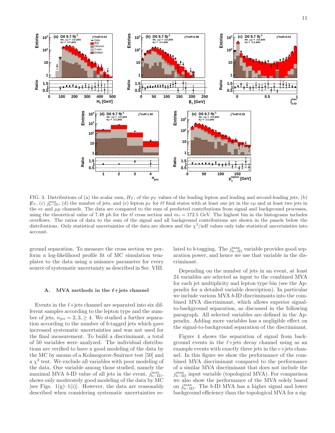

FIG. 3. Distributions of (a) the scalar sum,  $H_T$ , of the  $p_T$  values of the leading lepton and leading and second-leading jets, (b)  $\not\!\!E_T$ , (c)  $j_{\rm b-ID}^{\rm max}$ , (d) the number of jets, and (e) lepton  $p_T$  for  $\ell\ell$  final states with at least one jet in the  $e\mu$  and at least two jets in the ee and  $\mu\mu$  channels. The data are compared to the sum of predicted contributions from signal and background processes, using the theoretical value of 7.48 pb for the  $t\bar{t}$  cross section and  $m_t = 172.5$  GeV. The highest bin in the histograms includes overflows. The ratios of data to the sum of the signal and all background contributions are shown in the panels below the distributions. Only statistical uncertainties of the data are shown and the  $\chi^2$ /ndf values only take statistical uncertainties into account.

ground separation. To measure the cross section we perform a log-likelihood profile fit of MC simulation templates to the data using a nuisance parameter for every source of systematic uncertainty as described in Sec. VIII.

# A. MVA methods in the  $\ell$ +jets channel

Events in the  $\ell$ +jets channel are separated into six different samples according to the lepton type and the number of jets,  $n_{\text{jet}} = 2, 3, \geq 4$ . We studied a further separation according to the number of b-tagged jets which gave increased systematic uncertainties and was not used for the final measurement. To build a discriminant, a total of 50 variables were analyzed. The individual distributions are verified to have a good modeling of the data by the MC by means of a Kolmogorov-Smirnov test [50] and  $a \chi^2$  test. We exclude all variables with poor modeling of the data. One variable among those studied, namely the maximal MVA b-ID value of all jets in the event,  $j_{\rm b-ID}^{\rm max}$ , shows only moderately good modeling of the data by MC [see Figs.  $1(g)-1(i)$ ]. However, the data are reasonably described when considering systematic uncertainties re-

lated to b-tagging. The  $j_{\rm b-ID}^{\rm max}$  variable provides good separation power, and hence we use that variable in the discriminant.

Depending on the number of jets in an event, at least 24 variables are selected as input to the combined MVA for each jet multiplicity and lepton type bin (see the Appendix for a detailed variable description). In particular we include various MVA b-ID discriminants into the combined MVA discriminant, which allows superior signalto-background separation, as discussed in the following paragraph. All selected variables are defined in the Appendix. Adding more variables has a negligible effect on the signal-to-background separation of the discriminant.

Figure 4 shows the separation of signal from background events in the  $\ell + \text{jets}$  decay channel using as an example events with exactly three jets in the  $e+$ jets channel. In this figure we show the performance of the combined MVA discriminant compared to the performance of a similar MVA discriminant that does not include the  $j_{\rm b-ID}^{\rm max}$  input variable (topological MVA). For comparison we also show the performance of the MVA solely based on  $j_{\rm b-ID}^{\rm max}$ . The b-ID MVA has a higher signal and lower background efficiency than the topological MVA for a sig-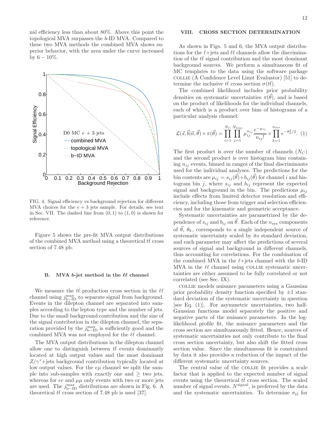nal efficiency less than about 80%. Above this point the topological MVA surpasses the b-ID MVA. Compared to these two MVA methods the combined MVA shows superior behavior, with the area under the curve increased by  $6 - 10\%$ .



FIG. 4. Signal efficiency vs background rejection for different MVA choices for the  $e + 3$  jets sample. For details, see text in Sec. VII. The dashed line from  $(0, 1)$  to  $(1, 0)$  is shown for reference.

Figure 5 shows the pre-fit MVA output distributions of the combined MVA method using a theoretical  $t\bar{t}$  cross section of 7.48 pb.

## B. MVA  $b$ -jet method in the  $\ell\ell$  channel

We measure the  $t\bar{t}$  production cross section in the  $\ell\ell$ channel using  $j_{\text{b-ID}}^{\text{max}}$  to separate signal from background. Events in the dilepton channel are separated into samples according to the lepton type and the number of jets. Due to the small background contribution and the size of the signal contribution in the dilepton channel, the separation provided by the  $j_{\rm b-ID}^{\rm max}$  is sufficiently good and the combined MVA was not employed for the  $\ell\ell$  channel.

The MVA output distributions in the dilepton channel allow one to distinguish between  $t\bar{t}$  events dominantly located at high output values and the most dominant  $Z/\gamma^*$ +jets background contribution typically located at low output values. For the  $e\mu$  channel we split the sample into sub-samples with exactly one and  $\geq$  two jets, whereas for ee and  $\mu\mu$  only events with two or more jets are used. The  $j_{\rm b-ID}^{\rm max}$  distributions are shown in Fig. 6. A theoretical  $t\bar{t}$  cross section of 7.48 pb is used [37].

# VIII. CROSS SECTION DETERMINATION

As shown in Figs. 5 and 6, the MVA output distributions for the  $\ell$ +jets and  $\ell\ell$  channels allow the discrimination of the  $t\bar{t}$  signal contribution and the most dominant background sources. We perform a simultaneous fit of MC templates to the data using the software package collie (A Confidence Level Limit Evaluator) [51] to determine the inclusive  $t\bar{t}$  cross section  $\sigma(t\bar{t})$ .

The combined likelihood includes prior probability densities on systematic uncertainties  $\pi(\vec{\theta})$ , and is based on the product of likelihoods for the individual channels, each of which is a product over bins of histograms of a particular analysis channel:

$$
\mathcal{L}(\vec{s}, \vec{b} | \vec{n}, \vec{\theta}) \times \pi(\vec{\theta}) = \prod_{i=1}^{N_C} \prod_{j=1}^{N_{\text{bins}}} \mu_{ij}^{n_{ij}} \frac{e^{-\mu_{ij}}}{n_{ij}!} \times \prod_{k=1}^{n_{\text{sys}}} e^{-\theta_k^2/2}.
$$
 (1)

The first product is over the number of channels  $(N_C)$ and the second product is over histogram bins containing  $n_{ij}$  events, binned in ranges of the final discriminants used for the individual analyses. The predictions for the bin contents are  $\mu_{ij} = s_{ij}(\vec{\theta}) + b_{ij}(\vec{\theta})$  for channel i and histogram bin j, where  $s_{ij}$  and  $b_{ij}$  represent the expected signal and background in the bin. The predictions  $\mu_{ij}$ include effects from limited detector resolution and efficiency, including those from trigger and selection efficiencies and for the kinematic and geometric acceptance.

Systematic uncertainties are parametrized by the dependence of  $s_{ij}$  and  $b_{ij}$  on  $\vec{\theta}$ . Each of the  $n_{sys}$  components of  $\theta$ ,  $\theta_k$ , corresponds to a single independent source of systematic uncertainty scaled by its standard deviation, and each parameter may affect the predictions of several sources of signal and background in different channels, thus accounting for correlations. For the combination of the combined MVA in the  $\ell$ +jets channel with the b-ID MVA in the  $\ell\ell$  channel using COLLIE systematic uncertainties are either assumed to be fully correlated or not correlated (see Sec. IX).

collie models nuisance parameters using a Gaussian prior probability density function specified by  $\pm 1$  standard deviation of the systematic uncertainty in question [see Eq.  $(1)$ ]. For asymmetric uncertainties, two half-Gaussian functions model separately the positive and negative parts of the nuisance parameters. In the loglikelihood profile fit, the nuisance parameters and the cross section are simultaneously fitted. Hence, sources of systematic uncertainties not only contribute to the final cross section uncertainty, but also shift the fitted cross section value. Since the simultaneous fit is constrained by data it also provides a reduction of the impact of the different systematic uncertainty sources.

The central value of the COLLIE fit provides a scale factor that is applied to the expected number of signal events using the theoretical  $t\bar{t}$  cross section. The scaled number of signal events,  $N^{\text{signal}}$ , is preferred by the data and the systematic uncertainties. To determine  $\sigma_{t\bar{t}}$  for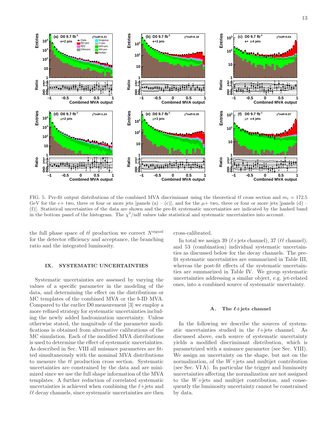

FIG. 5. Pre-fit output distributions of the combined MVA discriminant using the theoretical  $t\bar{t}$  cross section and  $m_t = 172.5$ GeV for the  $e+$  two, three or four or more jets [panels (a) – (c)], and for the  $\mu$ + two, three or four or more jets [panels (d) – (f)]. Statistical uncertainties of the data are shown and the pre-fit systematic uncertainties are indicated by the hashed band in the bottom panel of the histogram. The  $\chi^2$ /ndf values take statistical and systematic uncertainties into account.

the full phase space of  $t\bar{t}$  production we correct  $N^{\text{signal}}$ for the detector efficiency and acceptance, the branching ratio and the integrated luminosity.

## IX. SYSTEMATIC UNCERTAINTIES

Systematic uncertainties are assessed by varying the values of a specific parameter in the modeling of the data, and determining the effect on the distributions or MC templates of the combined MVA or the b-ID MVA. Compared to the earlier D0 measurement [3] we employ a more refined strategy for systematic uncertainties including the newly added hadronization uncertainty. Unless otherwise stated, the magnitude of the parameter modifications is obtained from alternative calibrations of the MC simulation. Each of the modified MVA distributions is used to determine the effect of systematic uncertainties. As described in Sec. VIII all nuisance parameters are fitted simultaneously with the nominal MVA distributions to measure the  $t\bar{t}$  production cross section. Systematic uncertainties are constrained by the data and are minimized since we use the full shape information of the MVA templates. A further reduction of correlated systematic uncertainties is achieved when combining the  $\ell$ +jets and  $\ell\ell$  decay channels, since systematic uncertainties are then cross-calibrated.

In total we assign 39 ( $\ell$ +jets channel), 37 ( $\ell\ell$  channel), and 53 (combination) individual systematic uncertainties as discussed below for the decay channels. The prefit systematic uncertainties are summarized in Table III, whereas the post-fit effects of the systematic uncertainties are summarized in Table IV. We group systematic uncertainties addressing a similar object, e.g. jet-related ones, into a combined source of systematic uncertainty.

## A. The  $\ell$ +jets channel

In the following we describe the sources of systematic uncertainties studied in the  $\ell$ +jets channel. As discussed above, each source of systematic uncertainty yields a modified discriminant distribution, which is parametrized with a nuisance parameter (see Sec. VIII). We assign an uncertainty on the shape, but not on the normalization, of the  $W+$ jets and multijet contribution (see Sec. VI A). In particular the trigger and luminosity uncertainties affecting the normalization are not assigned to the  $W +$ jets and multijet contribution, and consequently the luminosity uncertainty cannot be constrained by data.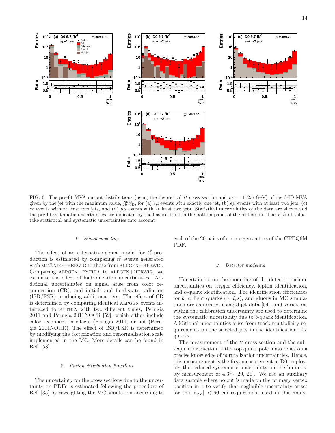**max b-ID j**



FIG. 6. The pre-fit MVA output distributions (using the theoretical  $t\bar{t}$  cross section and  $m_t = 172.5$  GeV) of the b-ID MVA given by the jet with the maximum value,  $j_{\rm b-ID}^{\rm max}$ , for (a)  $e\mu$  events with exactly one jet, (b)  $e\mu$  events with at least two jets, (c) ee events with at least two jets, and (d)  $\mu\mu$  events with at least two jets. Statistical uncertainties of the data are shown and the pre-fit systematic uncertainties are indicated by the hashed band in the bottom panel of the histogram. The  $\chi^2$ /ndf values take statistical and systematic uncertainties into account.

## 1. Signal modeling

The effect of an alternative signal model for  $t\bar{t}$  production is estimated by comparing  $t\bar{t}$  events generated with  $MC@NLO+HERWIG$  to those from ALPGEN+HERWIG. Comparing alpgen+pythia to alpgen+herwig, we estimate the effect of hadronization uncertainties. Additional uncertainties on signal arise from color reconnection (CR), and initial- and final-state radiation (ISR/FSR) producing additional jets. The effect of CR is determined by comparing identical ALPGEN events interfaced to pythia with two different tunes, Perugia 2011 and Perugia 2011NOCR [52], which either include color reconnection effects (Perugia 2011) or not (Perugia 2011NOCR). The effect of ISR/FSR is determined by modifying the factorization and renormalization scale implemented in the MC. More details can be found in Ref. [53].

#### 2. Parton distribution functions

The uncertainty on the cross sections due to the uncertainty on PDFs is estimated following the procedure of Ref. [35] by reweighting the MC simulation according to each of the 20 pairs of error eigenvectors of the CTEQ6M PDF.

#### 3. Detector modeling

Uncertainties on the modeling of the detector include uncertainties on trigger efficiency, lepton identification, and b-quark identification. The identification efficiencies for b, c, light quarks  $(u, d, s)$ , and gluons in MC simulations are calibrated using dijet data [54], and variations within the calibration uncertainty are used to determine the systematic uncertainty due to b-quark identification. Additional uncertainties arise from track multiplicity requirements on the selected jets in the identification of b quarks.

The measurement of the  $t\bar{t}$  cross section and the subsequent extraction of the top quark pole mass relies on a precise knowledge of normalization uncertainties. Hence, this measurement is the first measurement in D0 employing the reduced systematic uncertainty on the luminosity measurement of 4.3% [20, 21]. We use an auxiliary data sample where no cut is made on the primary vertex position in z to verify that negligible uncertainty arises for the  $|z_{\text{PV}}| < 60$  cm requirement used in this analy-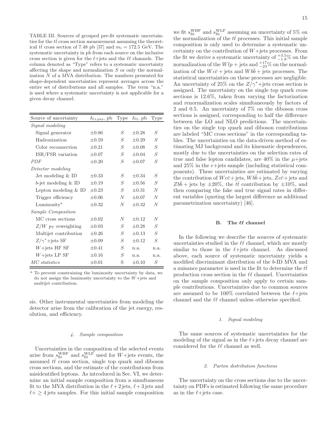TABLE III. Sources of grouped pre-fit systematic uncertainties for the  $t\bar{t}$  cross section measurement assuming the theoretical  $t\bar{t}$  cross section of 7.48 pb [37] and  $m_t = 172.5$  GeV. The systematic uncertainty in pb from each source on the inclusive cross section is given for the  $\ell$ +jets and the  $\ell\ell$  channels. The column denoted as "Type" refers to a systematic uncertainty affecting the shape and normalization S or only the normalization N of a MVA distribution. The numbers presented for shape-dependent uncertainties represent averages across the entire set of distributions and all samples. The term "n.a." is used where a systematic uncertainty is not applicable for a given decay channel.

| Source of uncertainty     | $\delta_{\ell + \text{jets}}$ , pb | <b>Type</b>      | $\delta_{\ell\ell}$ , pb | Type           |
|---------------------------|------------------------------------|------------------|--------------------------|----------------|
| Signal modeling           |                                    |                  |                          |                |
| Signal generator          | $\pm 0.86$                         | S                | $+0.28$                  | $\,$ S         |
| Hadronization             | $\pm 0.59$                         | $\mathcal{S}$    | $\pm 0.29$               | S              |
| Color reconnection        | $+0.21$                            | S                | $+0.08$                  | S              |
| ISR/FSR variation         | $\pm 0.07$                         | S                | $+0.04$                  | S              |
| <i>PDF</i>                | $\pm 0.20$                         | $\mathcal{S}$    | $\pm 0.07$               | S              |
| Detector modeling         |                                    |                  |                          |                |
| Jet modeling $&$ ID       | $\pm 0.33$                         | $\mathcal{S}$    | $\pm 0.34$               | S              |
| $b$ -jet modeling $&$ ID  | $\pm 0.19$                         | S                | $\pm 0.56$               | $\overline{S}$ |
| Lepton modeling $&$ ID    | $+0.23$                            | S                | $+0.31$                  | $\overline{N}$ |
| Trigger efficiency        | $\pm 0.06$                         | N                | $+0.07$                  | N              |
| Luminosity <sup>a</sup>   | $\pm 0.32$                         | N                | $+0.32$                  | $\overline{N}$ |
| <i>Sample Composition</i> |                                    |                  |                          |                |
| MC cross sections         | $\pm 0.02$                         | $\boldsymbol{N}$ | $+0.12$                  | $\overline{N}$ |
| $Z/W$ pr reweighting      | $\pm 0.03$                         | S                | $\pm 0.28$               | S              |
| Multijet contribution     | $\pm 0.26$                         | $\mathcal{S}$    | $+0.13$                  | S              |
| $Z/\gamma^*$ +jets SF     | $\pm 0.09$                         | S                | $+0.12$                  | $\mathcal{S}$  |
| $W+{\rm jets}$ HF SF      | $\pm 0.41$                         | $\mathcal{S}$    | n.a.                     | n.a.           |
| $W+{\rm jets}$ LP SF      | $\pm 0.16$                         | $\mathcal{S}$    | n.a.                     | n.a.           |
| MC statistics             | $\pm 0.01$                         | S                | $\pm 0.10$               | $\mathcal{S}$  |

<sup>a</sup> To prevent constraining the luminosity uncertainty by data, we do not assign the luminosity uncertainty to the  $W+$ jets and multijet contribution.

sis. Other instrumental uncertainties from modeling the detector arise from the calibration of the jet energy, resolution, and efficiency.

## 4. Sample composition

Uncertainties in the composition of the selected events arise from  $s_{\text{fit}}^{\text{WHF}}$  and  $s_{\text{fit}}^{\text{WLF}}$  used for  $W+$ jets events, the assumed  $t\bar{t}$  cross section, single top quark and diboson cross sections, and the estimate of the contributions from misidentified leptons. As introduced in Sec. VI, we determine an initial sample composition from a simultaneous fit to the MVA distribution in the  $\ell+2$  jets,  $\ell+3$  jets and  $\ell + \geq 4$  jets samples. For this initial sample composition

we fit  $s_{\text{fit}}^{\text{WHF}}$  and  $s_{\text{fit}}^{\text{WLF}}$  assuming an uncertainty of 5% on the normalization of the  $t\bar{t}$  processes. This initial sample composition is only used to determine a systematic uncertainty on the contribution of  $W+$ jets processes. From the fit we derive a systematic uncertainty of  $^{+3.5}_{-1.8}\%$  on the normalization of the  $Wlp + \text{jets}$  and  $^{+17}_{-23}$ % on the normalization of the  $Wc\bar{c}$  + jets and  $W b\bar{b}$  + jets processes. The statistical uncertainties on these processes are negligible. An uncertainty of 25% on the  $Z/\gamma^*$ +jets cross section is assigned. The uncertainty on the single top quark cross sections is 12.6%, taken from varying the factorization and renormalization scales simultaneously by factors of 2 and 0.5. An uncertainty of 7% on the diboson cross sections is assigned, corresponding to half the difference between the LO and NLO predictions. The uncertainties on the single top quark and diboson contributions are labeled "MC cross sections" in the corresponding tables. The uncertainties on the data-driven method of estimating MJ background and its kinematic dependences, mostly due to the uncertainties on the selection rates of true and false lepton candidates, are  $40\%$  in the  $\mu +$ jets and  $25\%$  in the  $e+{\rm jets}$  sample (including statistical components). These uncertainties are estimated by varying the contribution of  $Wc\bar{c}$  + jets,  $W b\bar{b}$  + jets,  $Zc\bar{c}$  + jets and  $Zb\bar{b}$  + jets by  $\pm 20\%$ , the  $t\bar{t}$  contribution by  $\pm 10\%$ , and then comparing the fake and true signal rates in different variables (quoting the largest difference as additional parametrization uncertainty) [46].

# B. The  $ell$  channel

In the following we describe the sources of systematic uncertainties studied in the  $\ell\ell$  channel, which are mostly similar to those in the  $\ell$ +jets channel. As discussed above, each source of systematic uncertainty yields a modified discriminant distribution of the b-ID MVA and a nuisance parameter is used in the fit to determine the  $t\bar{t}$ production cross section in the  $\ell\ell$  channel. Uncertainties on the sample composition only apply to certain sample contributions. Uncertainties due to common sources are assumed to be 100% correlated between the  $\ell$ +jets channel and the  $\ell\ell$  channel unless otherwise specified.

#### 1. Signal modeling

The same sources of systematic uncertainties for the modeling of the signal as in the  $\ell$ +jets decay channel are considered for the  $\ell\ell$  channel as well.

#### 2. Parton distribution functions

The uncertainty on the cross sections due to the uncertainty on PDFs is estimated following the same procedure as in the  $\ell$ +jets case.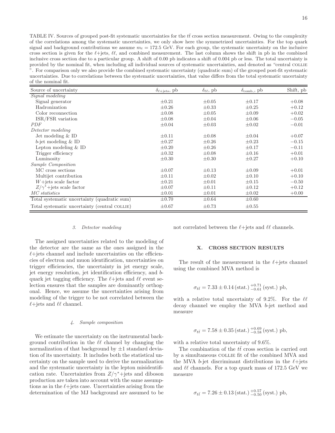TABLE IV. Sources of grouped post-fit systematic uncertainties for the  $t\bar{t}$  cross section measurement. Owing to the complexity of the correlations among the systematic uncertainties, we only show here the symmetrized uncertainties. For the top quark signal and background contributions we assume  $m_t = 172.5$  GeV. For each group, the systematic uncertainty on the inclusive cross section is given for the  $\ell$ +jets,  $\ell\ell$ , and combined measurement. The last column shows the shift in pb in the combined inclusive cross section due to a particular group. A shift of 0.00 pb indicates a shift of 0.004 pb or less. The total uncertainty is provided by the nominal fit, when including all individual sources of systematic uncertainties, and denoted as "central collie ". For comparison only we also provide the combined systematic uncertainty (quadratic sum) of the grouped post-fit systematic uncertainties. Due to correlations between the systematic uncertainties, that value differs from the total systematic uncertainty of the nominal fit.

| Source of uncertainty                         | $\delta_{\ell + \text{jets}}$ , pb | $\delta_{\ell\ell}$ , pb | $\delta_{\rm comb}$ , pb | Shift, pb |
|-----------------------------------------------|------------------------------------|--------------------------|--------------------------|-----------|
| Signal modeling                               |                                    |                          |                          |           |
| Signal generator                              | $\pm 0.21$                         | $\pm 0.05$               | $\pm 0.17$               | $+0.08$   |
| Hadronization                                 | $\pm 0.26$                         | $\pm 0.33$               | $\pm 0.25$               | $+0.12$   |
| Color reconnection                            | $\pm 0.08$                         | $\pm 0.05$               | $\pm 0.09$               | $+0.02$   |
| ISR/FSR variation                             | $\pm 0.08$                         | $\pm 0.04$               | $\pm 0.06$               | $-0.05$   |
| <i>PDF</i>                                    | $\pm 0.04$                         | $\pm 0.03$               | $\pm 0.02$               | $-0.01$   |
| Detector modeling                             |                                    |                          |                          |           |
| Jet modeling $&$ ID                           | $\pm 0.11$                         | $\pm 0.08$               | $\pm 0.04$               | $+0.07$   |
| $b$ -jet modeling $&$ ID                      | $\pm 0.27$                         | $\pm 0.26$               | $\pm 0.23$               | $-0.15$   |
| Lepton modeling $&$ ID                        | $\pm 0.20$                         | $\pm 0.26$               | $\pm 0.17$               | $-0.11$   |
| Trigger efficiency                            | $\pm 0.32$                         | $\pm 0.08$               | $\pm 0.16$               | $+0.01$   |
| Luminosity                                    | $\pm 0.30$                         | $\pm 0.30$               | $\pm 0.27$               | $+0.10$   |
| <i>Sample Composition</i>                     |                                    |                          |                          |           |
| MC cross sections                             | $\pm 0.07$                         | $\pm 0.13$               | $\pm 0.09$               | $+0.01$   |
| Multijet contribution                         | $\pm 0.11$                         | $\pm 0.02$               | $\pm 0.10$               | $+0.10$   |
| $W+$ jets scale factor                        | $\pm 0.21$                         | $\pm 0.01$               | $\pm 0.15$               | $-0.50$   |
| $Z/\gamma^*$ +jets scale factor               | $\pm 0.07$                         | $\pm 0.11$               | $\pm 0.12$               | $+0.12$   |
| MC statistics                                 | $\pm 0.01$                         | $\pm 0.01$               | $\pm 0.02$               | $+0.00$   |
| Total systematic uncertainty (quadratic sum)  | $\pm 0.70$                         | $\pm 0.64$               | $\pm 0.60$               |           |
| Total systematic uncertainty (central COLLIE) | $\pm 0.67$                         | $\pm 0.73$               | $\pm 0.55$               |           |

#### 3. Detector modeling

The assigned uncertainties related to the modeling of the detector are the same as the ones assigned in the  $\ell$ +jets channel and include uncertainties on the efficiencies of electron and muon identification, uncertainties on trigger efficiencies, the uncertainty in jet energy scale, jet energy resolution, jet identification efficiency, and bquark jet tagging efficiency. The  $\ell$ +jets and  $\ell\ell$  event selection ensures that the samples are dominantly orthogonal. Hence, we assume the uncertainties arising from modeling of the trigger to be not correlated between the  $\ell$ +jets and  $\ell\ell$  channel.

## 4. Sample composition

We estimate the uncertainty on the instrumental background contribution in the  $\ell\ell$  channel by changing the normalization of that background by  $\pm 1$  standard deviation of its uncertainty. It includes both the statistical uncertainty on the sample used to derive the normalization and the systematic uncertainty in the lepton misidentification rate. Uncertainties from  $Z/\gamma^*+{\rm jets}$  and diboson production are taken into account with the same assumptions as in the  $\ell$ +jets case. Uncertainties arising from the determination of the MJ background are assumed to be

not correlated between the  $\ell$ +jets and  $\ell\ell$  channels.

#### X. CROSS SECTION RESULTS

The result of the measurement in the  $\ell$ +jets channel using the combined MVA method is

$$
\sigma_{t\bar{t}} = 7.33 \pm 0.14 \, (\text{stat.}) \, ^{+0.71}_{-0.61} \, (\text{syst.}) \, \text{pb},
$$

with a relative total uncertainty of 9.2%. For the  $\ell\ell$ decay channel we employ the MVA b-jet method and measure

$$
\sigma_{t\bar{t}} = 7.58 \pm 0.35 \, (\text{stat.}) \, ^{+0.69}_{-0.58} \, (\text{syst.}) \, \text{pb},
$$

with a relative total uncertainty of 9.6%.

The combination of the  $t\bar{t}$  cross section is carried out by a simultaneous COLLIE fit of the combined MVA and the MVA b-jet discriminant distributions in the  $\ell$ +jets and  $\ell\ell$  channels. For a top quark mass of 172.5 GeV we measure

$$
\sigma_{t\bar{t}} = 7.26 \pm 0.13 \, (\text{stat.}) \, ^{+0.57}_{-0.50} \, (\text{syst.}) \, \text{pb},
$$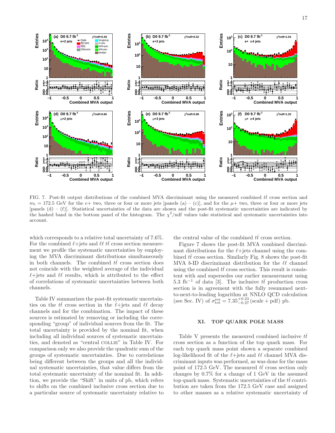

FIG. 7. Post-fit output distributions of the combined MVA discriminant using the measured combined  $t\bar{t}$  cross section and  $m_t = 172.5$  GeV for the e+ two, three or four or more jets [panels (a) – (c)], and for the  $\mu$ + two, three or four or more jets [panels (d) – (f)]. Statistical uncertainties of the data are shown and the post-fit systematic uncertainties are indicated by the hashed band in the bottom panel of the histogram. The  $\chi^2$ /ndf values take statistical and systematic uncertainties into account.

which corresponds to a relative total uncertainty of 7.6%. For the combined  $\ell$ +jets and  $\ell\ell$  to cross section measurement we profile the systematic uncertainties by employing the MVA discriminant distributions simultaneously in both channels. The combined  $t\bar{t}$  cross section does not coincide with the weighted average of the individual  $\ell$ +jets and  $\ell\ell$  results, which is attributed to the effect of correlations of systematic uncertainties between both channels.

Table IV summarizes the post-fit systematic uncertainties on the  $t\bar{t}$  cross section in the  $\ell$ +jets and  $\ell\ell$  decay channels and for the combination. The impact of these sources is estimated by removing or including the corresponding "group" of individual sources from the fit. The total uncertainty is provided by the nominal fit, when including all individual sources of systematic uncertainties, and denoted as "central COLLIE" in Table IV. For comparison only we also provide the quadratic sum of the groups of systematic uncertainties. Due to correlations being different between the groups and all the individual systematic uncertainties, that value differs from the total systematic uncertainty of the nominal fit. In addition, we provide the "Shift" in units of pb, which refers to shifts on the combined inclusive cross section due to a particular source of systematic uncertainty relative to

the central value of the combined  $t\bar{t}$  cross section.

Figure 7 shows the post-fit MVA combined discriminant distributions for the  $\ell$ +jets channel using the combined  $t\bar{t}$  cross section. Similarly Fig. 8 shows the post-fit MVA  $b$ -ID discriminant distribution for the  $\ell\ell$  channel using the combined  $t\bar{t}$  cross section. This result is consistent with and supersedes our earlier measurement using 5.3 fb<sup>-1</sup> of data [3]. The inclusive  $t\bar{t}$  production cross section is in agreement with the fully resummed nextto-next-to-leading logarithm at NNLO QCD calculation (see Sec. IV) of  $\sigma_{\text{tot}}^{\text{res}} = 7.35_{-0.27}^{+0.23}$  (scale + pdf) pb.

# XI. TOP QUARK POLE MASS

Table V presents the measured combined inclusive  $t\bar{t}$ cross section as a function of the top quark mass. For each top quark mass point shown a separate combined log-likelihood fit of the  $\ell$ +jets and  $\ell\ell$  channel MVA discriminant inputs was performed, as was done for the mass point of 172.5 GeV. The measured  $t\bar{t}$  cross section only changes by 0.7% for a change of 1 GeV in the assumed top quark mass. Systematic uncertainties of the  $t\bar{t}$  contribution are taken from the 172.5 GeV case and assigned to other masses as a relative systematic uncertainty of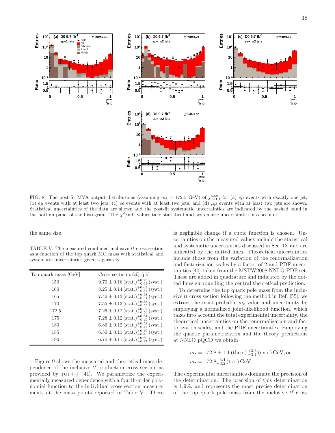**/ndf=1.19 <sup>2</sup>** χ

**max j**<br>b-ID



FIG. 8. The post-fit MVA output distributions (assuming  $m_t = 172.5$  GeV) of  $j_{\rm b-ID}^{\rm max}$  for (a)  $e\mu$  events with exactly one jet, (b)  $e\mu$  events with at least two jets, (c) ee events with at least two jets, and (d)  $\mu\mu$  events with at least two jets are shown. Statistical uncertainties of the data are shown and the post-fit systematic uncertainties are indicated by the hashed band in the bottom panel of the histogram. The  $\chi^2$ /ndf values take statistical and systematic uncertainties into account.

the same size.

TABLE V. The measured combined inclusive  $t\bar{t}$  cross section as a function of the top quark MC mass with statistical and systematic uncertainties given separately.

| Top quark mass [GeV] | Cross section $\sigma(tt)$ [pb]                                     |
|----------------------|---------------------------------------------------------------------|
| 150                  | $9.70 \pm 0.16 \, (\text{stat.})^{-0.73}_{-0.67} \, (\text{syst.})$ |
| 160                  | $8.25 \pm 0.14 \, (\text{stat.})_{-0.57}^{+0.63} \, (\text{syst.})$ |
| 165                  | 7.46 ± 0.13 (stat.) $^{+0.58}_{-0.51}$ (syst.)                      |
| 170                  | $7.55 \pm 0.13 \, (\text{stat.})^{-0.58}_{-0.55} \, (\text{syst.})$ |
| 172.5                | $7.26 \pm 0.12 \, (\text{stat.})_{-0.50}^{+0.57} \, (\text{syst.})$ |
| 175                  | $7.28 \pm 0.12 \, (\text{stat.})^{-0.54}_{-0.49} \, (\text{syst.})$ |
| 180                  | $6.86 \pm 0.12 \, (\text{stat.})_{-0.47}^{+0.53} \, (\text{syst.})$ |
| 185                  | $6.50 \pm 0.11 \, (\text{stat.})^{-0.50}_{-0.43} \, (\text{syst.})$ |
| 190                  | $6.70 \pm 0.11 \, (\text{stat.})_{-0.47}^{+0.60} \, (\text{syst.})$ |

Figure 9 shows the measured and theoretical mass dependence of the inclusive  $t\bar{t}$  production cross section as provided by  $TOP++$  [41]. We parametrize the experimentally measured dependence with a fourth-order polynomial function to the individual cross section measurements at the mass points reported in Table V. There is negligible change if a cubic function is chosen. Uncertainties on the measured values include the statistical and systematic uncertainties discussed in Sec. IX and are indicated by the dotted lines. Theoretical uncertainties include those from the variation of the renormalization and factorization scales by a factor of 2 and PDF uncertainties [40] taken from the MSTW2008 NNLO PDF set. These are added in quadrature and indicated by the dotted lines surrounding the central theoretical prediction.

To determine the top quark pole mass from the inclusive  $t\bar{t}$  cross section following the method in Ref. [55], we extract the most probable  $m_t$  value and uncertainty by employing a normalized joint-likelihood function, which takes into account the total experimental uncertainty, the theoretical uncertainties on the renormalization and factorization scales, and the PDF uncertainties. Employing the quartic parametrization and the theory predictions at NNLO pQCD we obtain

$$
m_t = 172.8 \pm 1.1 \text{ (theo.)} \, \frac{+3.3}{-3.1} \text{(exp.)} \, \text{GeV, or}
$$
  

$$
m_t = 172.8^{+3.4}_{-3.2} \text{ (tot.)} \, \text{GeV}
$$

The experimental uncertainties dominate the precision of the determination. The precision of this determination is 1.9%, and represents the most precise determination of the top quark pole mass from the inclusive  $t\bar{t}$  cross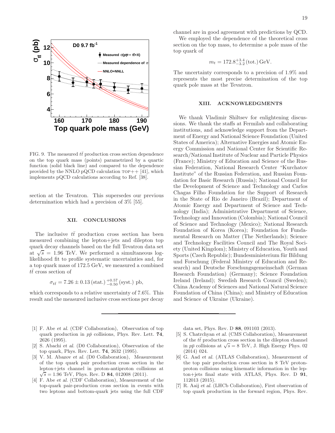

FIG. 9. The measured  $t\bar{t}$  production cross section dependence on the top quark mass (points) parametrized by a quartic function (solid black line) and compared to the dependence provided by the NNLO pQCD calculation  $\text{top++}$  [41], which implements pQCD calculations according to Ref. [38].

section at the Tevatron. This supersedes our previous determination which had a precision of 3% [55].

## XII. CONCLUSIONS

The inclusive  $t\bar{t}$  production cross section has been measured combining the lepton+jets and dilepton top quark decay channels based on the full Tevatron data set at  $\sqrt{s}$  = 1.96 TeV. We performed a simultaneous loglikelihood fit to profile systematic uncertainties and, for a top quark mass of 172.5 GeV, we measured a combined  $t\bar{t}$  cross section of

$$
\sigma_{t\bar{t}} = 7.26 \pm 0.13 \, (\text{stat.}) \, ^{+0.57}_{-0.50} \, (\text{syst.}) \, \text{pb},
$$

which corresponds to a relative uncertainty of 7.6%. This result and the measured inclusive cross sections per decay channel are in good agreement with predictions by QCD.

We employed the dependence of the theoretical cross section on the top mass, to determine a pole mass of the top quark of

$$
m_t = 172.8^{+3.4}_{-3.2} \,\text{(tot.)}\,\text{GeV}.
$$

The uncertainty corresponds to a precision of 1.9% and represents the most precise determination of the top quark pole mass at the Tevatron.

## XIII. ACKNOWLEDGMENTS

We thank Vladimir Shiltsev for enlightening discussions. We thank the staffs at Fermilab and collaborating institutions, and acknowledge support from the Department of Energy and National Science Foundation (United States of America); Alternative Energies and Atomic Energy Commission and National Center for Scientific Research/National Institute of Nuclear and Particle Physics (France); Ministry of Education and Science of the Russian Federation, National Research Center "Kurchatov Institute" of the Russian Federation, and Russian Foundation for Basic Research (Russia); National Council for the Development of Science and Technology and Carlos Chagas Filho Foundation for the Support of Research in the State of Rio de Janeiro (Brazil); Department of Atomic Energy and Department of Science and Technology (India); Administrative Department of Science, Technology and Innovation (Colombia); National Council of Science and Technology (Mexico); National Research Foundation of Korea (Korea); Foundation for Fundamental Research on Matter (The Netherlands); Science and Technology Facilities Council and The Royal Society (United Kingdom); Ministry of Education, Youth and Sports (Czech Republic); Bundesministerium für Bildung und Forschung (Federal Ministry of Education and Research) and Deutsche Forschungsgemeinschaft (German Research Foundation) (Germany); Science Foundation Ireland (Ireland); Swedish Research Council (Sweden); China Academy of Sciences and National Natural Science Foundation of China (China); and Ministry of Education and Science of Ukraine (Ukraine).

data set, Phys. Rev. D 88, 091103 (2013).

- [5] S. Chatrchyan et al. (CMS Collaboration), Measurement of the  $t\bar{t}$  production cross section in the dilepton channel in  $p\bar{p}$  collisions at  $\sqrt{s} = 8$  TeV, J. High Energy Phys. 02 (2014) 024.
- [6] G. Aad et al. (ATLAS Collaboration), Measurement of the top pair production cross section in 8 TeV protonproton collisions using kinematic information in the lepton+jets final state with ATLAS, Phys. Rev. D 91, 112013 (2015).
- [7] R. Aaij et al. (LHCb Collaboration), First observation of top quark production in the forward region, Phys. Rev.
- [1] F. Abe et al. (CDF Collaboration), Observation of top quark production in  $p\bar{p}$  collisions, Phys. Rev. Lett. 74, 2626 (1995).
- [2] S. Abachi et al. (D0 Collaboration), Observation of the top quark, Phys. Rev. Lett. 74, 2632 (1995).
- [3] V. M. Abazov et al. (D0 Collaboration), Measurement of the top quark pair production cross section in the lepton+jets channel in proton-antiproton collisions at  $\sqrt{s} = 1.96$  TeV, Phys. Rev. D 84, 012008 (2011).
- [4] F. Abe et al. (CDF Collaboration), Measurement of the top-quark pair-production cross section in events with two leptons and bottom-quark jets using the full CDF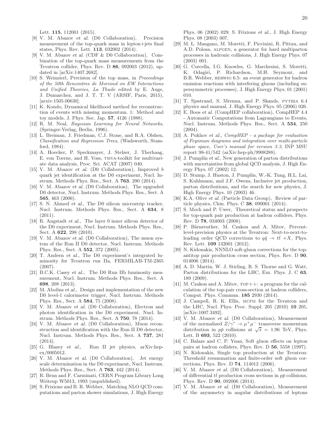Lett. 115, 112001 (2015).

- [8] V. M. Abazov et al. (D0 Collaboration), Precision measurement of the top-quark mass in lepton+jets final states, Phys. Rev. Lett. 113, 032002 (2014).
- [9] V. M. Abazov et al. (CDF & D0 Collaboration), Combination of the top-quark mass measurements from the Tevatron collider, Phys. Rev. D 86, 092003 (2012), updated in [arXiv:1407.2682].
- [10] S. Weinzierl, Precision of the top mass, in Proceedings of the 50th Rencontres de Moriond on EW Interactions and Unified Theories, La Thuile edited by E. Auge, J. Dumarchez, and J. T. T. V (ARSIF, Paris, 2015), [arxiv:1505.00630].
- [11] K. Kondo, Dynamical likelihood method for reconstruction of events with missing momentum. 1: Method and toy models, J. Phys. Soc. Jap. 57, 4126 (1988).
- [12] R. M. Neal, Bayesian Learning for Neural Networks, (Springer-Verlag, Berlin, 1996).
- [13] L. Breiman, J. Friedman, C.J. Stone, and R.A. Olshen, Classification and Regression Trees, (Wadsworth, Stamford, 1984).
- [14] A. Hoecker, P. Speckmayer, J. Stelzer, J. Therhaag, E. von Toerne, and H. Voss, tmva-toolkit for multivariate data analysis, Proc. Sci. ACAT (2007) 040.
- [15] V. M. Abazov et al. (D0 Collaboration), Improved b quark jet identification at the D0 experiment, Nucl. Instrum. Methods Phys. Res., Sect. A 763, 290 (2014).
- [16] V. M. Abazov et al. (D0 Collaboration), The upgraded D0 detector, Nucl. Instrum. Methods Phys. Res., Sect. A 565, 463 (2006).
- [17] S. N. Ahmed et al., The D0 silicon microstrip tracker, Nucl. Instrum. Methods Phys. Res., Sect. A 634, 8 (2011).
- [18] R. Angstadt et al., The layer 0 inner silicon detector of the D0 experiment, Nucl. Instrum. Methods Phys. Res., Sect. A 622, 298 (2010).
- [19] V. M. Abazov et al. (D0 Collaboration), The muon system of the Run II D0 detector, Nucl. Instrum. Methods Phys. Res., Sect. A 552, 372 (2005).
- [20] T. Andeen et al., The D0 experiment's integrated luminosity for Tevatron run IIa, FERMILAB-TM-2365 (2007).
- [21] B.C.K. Casey et al., The D0 Run IIb luminosity measurement, Nucl. Instrum. Methods Phys. Res., Sect. A 698, 208 (2013).
- [22] M. Abolins et al., Design and implementation of the new D0 level-1 calorimeter trigger, Nucl. Instrum. Methods Phys. Res., Sect. A 584, 75 (2008).
- [23] V. M. Abazov et al. (D0 Collaboration), Electron and photon identification in the D0 experiment, Nucl. Instrum. Methods Phys. Res., Sect. A 750, 78 (2014).
- [24] V. M. Abazov et al. (D0 Collaboration), Muon reconstruction and identification with the Run II D0 detector, Nucl. Instrum. Methods Phys. Res., Sect. A 737, 281  $(2014).$
- [25] G. Blazey et al., Run II jet physics, arXiv:hepex/0005012.
- [26] V. M. Abazov et al. (D0 Collaboration), Jet energy scale determination in the D0 experiment, Nucl. Instrum. Methods Phys. Res., Sect. A 763, 442 (2014).
- [27] R. Brun and F. Carminati, CERN Program Library Long Writeup W5013, 1993 (unpublished).
- [28] S. Frixione and B. R. Webber, Matching NLO QCD computations and parton shower simulations, J. High Energy

Phys. 06 (2002) 029; S. Frixione et al., J. High Energy Phys. 08 (2003) 007.

- [29] M. L. Mangano, M. Moretti, F. Piccinini, R. Pittau, and A.D. Polosa, alpgen, a generator for hard multiparton processes in hadronic collisions, J. High Energy Phys. 07 (2003) 001.
- [30] G. Corcella, I.G. Knowles, G. Marchesini, S. Moretti, K. Odagiri, P. Richardson, M.H. Seymour, and B.R. Webber, herwig 6.5: an event generator for hadron emission reactions with interfering gluons (including supersymmetric processes), J. High Energy Phys. 01 (2001) 010.
- [31] T. Sjøstrand, S. Mrenna, and P. Skands, pythia 6.4 physics and manual, J. High Energy Phys. 05 (2006) 026.
- [32] E. Boos et al. (CompHEP collaboration), CompHEP 4.4 - Automatic Computations from Lagrangians to Events, Nucl. Instrum. Methods Phys. Res., Sect. A 534, 250 (2004).
- [33] A. Pukhov et al.,  $CompHEP$  a package for evaluation of Feynman diagrams and integration over multi-particle phase space, User's manual for version 3.3, INP MSU report 98-41/542 (arXiv:hep-ph/9908288).
- [34] J. Pumplin et al., New generation of parton distributions with uncertainties from global QCD analysis, J. High Energy Phys. 07 (2002) 12.
- [35] D. Stump, J. Huston, J. Pumplin, W.-K. Tung, H.L. Lai, S. Kuhlmann, and J.F. Owens, Inclusive jet production, parton distributions, and the search for new physics, J. High Energy Phys. 10 (2003) 46.
- [36] K.A. Olive et al. (Particle Data Group), Review of particle physics, Chin. Phys. C 38, 090001 (2014).
- [37] S. Moch and P. Uwer, Theoretical status and prospects for top-quark pair production at hadron colliders, Phys. Rev. D 78, 034003 (2008).
- [38] P. Bärnreuther, M. Czakon and A. Mitov, Percentlevel-precision physics at the Tevatron: Next-to-next-toleading order QCD corrections to  $q\bar{q} \to t\bar{t} + X$ , Phys. Rev. Lett. 109 132001 (2012).
- [39] N. Kidonakis, NNNLO soft-gluon corrections for the topantitop pair production cross section, Phys. Rev. D 90, 014006 (2014).
- [40] A. D. Martin, W. J. Stirling, R. S. Thorne and G. Watt, Parton distributions for the LHC, Eur. Phys. J. C 63, 189 (2009).
- [41] M. Czakon and A. Mitov,  $\text{TOP++}:$  a program for the calculation of the top-pair cross-section at hadron colliders, Comput. Phys. Commun. 185 2930 (2014).
- [42] J. Campell, R. K. Ellis, MCFM for the Tevatron and the LHC, Nucl. Phys. Proc. Suppl. 205 (2010) 10 205, [arXiv:1007.3492].
- [43] V. M. Abazov et al. (D0 Collaboration), Measurement of the normalized  $Z/\gamma^* \to \mu^+\mu^-$  transverse momentum distribution in  $p\bar{p}$  collisions at  $\sqrt{s} = 1.96$  TeV, Phys. Lett. B 693, 522 (2010).
- [44] C. Balazs and C. P. Yuan, Soft gluon effects on lepton pairs at hadron colliders, Phys. Rev. D 56, 5558 (1997).
- [45] N. Kidonakis, Single top production at the Tevatron: Threshold resummation and finite-order soft gluon corrections, Phys. Rev. D 74, 114012 (2006).
- [46] V. M. Abazov et al. (D0 Collaboration), Measurement of differential  $t\bar{t}$  production cross sections in  $p\bar{p}$  collisions, Phys. Rev. D 90, 092006 (2014).
- [47] V. M. Abazov et al. (D0 Collaboration), Measurement of the asymmetry in angular distributions of leptons